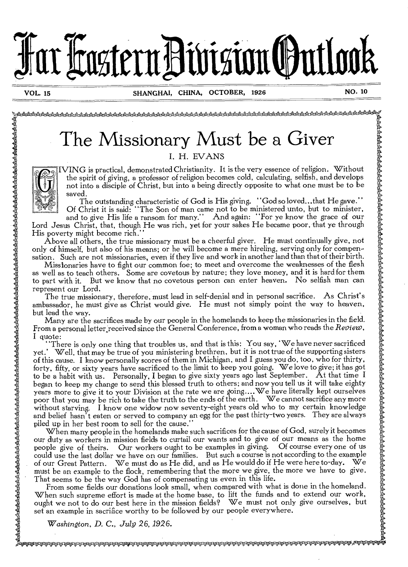

Ya

**Barbar** 

'.<br>•;stract.ctr.Ctr.Ctr.Ctr.Ctr.Ctr.Ctr. ••>2:14z-dA0cAsta&A.A.ats;,,A4V-.3'•Atekt.t\*-q.,

# The Missionary Must be a Giver  $\quad \quad \mathring{\!\!\sharp}$

I. H. EVANS

WING is practical, demonstrated Christianity. It is the very essence of religion. Without the spirit of giving, a professor of religion becomes cold, calculating, selfish, and develops not into a disciple of Christ, but into a being directly opposite to what one must be to be saved.

The outstanding characteristic of God is His giving. "God so loved...that He gave." Of Christ it is said: "The Son of man came not to be ministered unto, but to minister,

and to give His life a ransom for many." And again: "For ye know the grace of our Lord Jesus Christ, that, though He was rich, yet for your sakes He became poor, that ye through His poverty might become rich."

Above all others, the true missionary must be a cheerful giver. He must continually give, not only of himself, but also of his means; or he will become a mere hireling, serving only for compensation. Such are not missionaries, even if they live and work in another land than that of their birth.

Missionaries have to fight our common foe; to meet and overcome the weaknesses of the flesh as well as to teach others. Some are covetous by nature; they love money, and it is hard for them to part with it. But we know that no covetous person can enter heaven. No selfish man can represent our Lord.

The true missionary, therefore, must lead in self-denial and in personal sacrifice. As Christ's ambassador, he must give as Christ would give. He must not simply point the way to heaven, but lead the way.

Many are the sacrifices made by our people in the homelands to keep the missionaries in the field. From a personal letter,received since the General Conference, from a woman who reads the *Review,*  I quote:

"There is only one thing that troubles us, and that is this: You say, 'We have never sacrificed yet.' Well, that may be true of you ministering brethren, but it is not true of the supporting sisters of this cause. I know personally scores of them in Michigan, and I guess you do, too, who for thirty, forty, fifty, or sixty years have sacrificed to the limit to keep you going. We love to give; it has got to be a habit with us. Personally, I began to give sixty years ago last September. At that time I began to keep my change to send this blessed truth to others; and now you tell us it will take eighty years more to give it to your Division at the rate we are going ....We have literally kept ourselves poor that you may be rich to take the truth to the ends of the earth. We cannot sacrifice any more without starving. I know one widow now seventy-eight years old who to my certain knowledge and belief hasn't eaten or served to company an egg for the past thirty-two years. They are always piled up in her best room to sell for the cause."

When many people in the homelands make such sacrifices for the cause of God, surely it becomes our duty as workers in mission fields to curtail our wants and to give of our means as the home people give of theirs. Our workers ought to be examples in giving. Of course every one of us could use the last dollar we have on our families. But such a course is not according to the example of our Great Pattern. We must do as He did, and as He would do if He were here to-day. We must be an example to the flock, remembering that the more we give, the more we have to give. That seems to be the way God has of compensating us even in this life.

From some fields our donations look small, when compared with what is done in the homeland. When such supreme effort is made at the home base, to lift the funds and to extend our work, ought we not to do our best here in the mission fields? We must not only give ourselves, but set an example in sacrifice worthy to be followed by our people everywhere.

*Washington, D.* C., *Alp 26,1926.*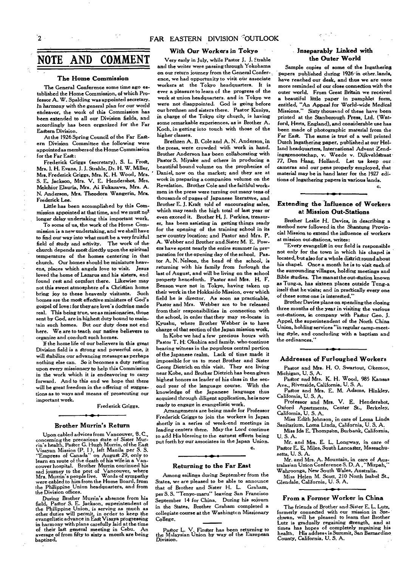#### **FAR EASTERN DIVISION ''OUTLOOK**

## **NOTE AND COMMENT**

#### **The Home Commission**

The General Conference some time ago established the Home Commission, of which Professor A. W. Spalding was appointed secretary. In harmony with the general plan *for our* world endeavor, the work of this Commission has been extended to all our Division fields, and accordingly has been organized for the Far Eastern Division.

At the 1926 Spring Council of the Far Eastern Division Committee the following were appointed as members of the Home Commission for the Far East:

Frederick Griggs (secretary), S. L. Frost, Mrs. I. H. Evans, J. J. Strahle, Dr. H. W. Miller, Mrs. Frederick Griggs, Mrs. K. H. Wood, Mrs. S. E. Jackson, **Mrs.** V. E. Hendershot, Mrs. Melchior Elauria, Mrs, Ai Fukazawa, Mrs. A. N. Anderson, Mrs. Theodora Wangerin, Mrs. Frederick Lee.

Little has *been* accomplished by this Commission appointed at that time, and we must not longer delay undertaking this important work.

To some of us, the work of the Home Commission is a new undertaking, and we shall have to find our way into what must be a very fruitful field of study and activity. The work of the church depends most directly upon the spiritual temperature of the homes centering in that church. Our homes should be miniature heavens, places which angels love to visit. Jesus loved the home of Lazarus and his sisters, and found rest and comfort there. Likewise may not this sweet atmosphere of a Christian home bring joy to these heavenly visitants. Such homes are the most *effective* ministers of God's gospel of love: for they are love's doctrine made real. This being true, we as missionaries, those sent by God, are in highest duty bound to maintain such homes. But our duty does not end here. We are to teach our native believers to organize and conduct such homes.

If the home life of our believers in this great Division field is a strong and powerful one, it will stabilize our advancing message as perhaps nothing else can. So it becomes a duty resting upon every missionary to help this Commission in the work which it is endeavoring to carry forward. And to this end we hope that there will be great freedom in the offering of suggestions as to ways and means of prosecuting our important work.

Frederick Griggs.

#### **Brother Murrin's Return**

Upon cabled advices from Vancouver, B. C., concerning the precarious state of Sister Mur-rin's health, Pastor G. Hugh Murrin, of the East Visayan Mission (P. 1 ), *left* Manila per S. S. "Empress of Canada" on August 29, only to learn en route of the death of his wife in a Vancouver hospital. Brother Murrin continued his sad journey to the port of Vancouver, where Mrs. Murrin's people live. Words of sympathy were cabled to him from the Home Board, from the Philippine Union headquarters, and from the Division offices.

During Brother Murrin's absence from his field. Pastor S. E. Jackson, superintendent of the Philippine Union, is serving as much as other duties will permit, in order to keep the evangelistic advance in East Visaya progressing in harmony with plans carefully laid at the time of their last general meeting in Cebu. average of from fifty **to** sixty a month are being baptized.

#### **With Our Workers in Tokyo**

Very early in July, while Pastor J. J. Strahle and the writer were passing through Yokohama on our return journey from the General Conference, we had opportunity to visit our associate workers at the Tokyo headquarters. It is *ever* a pleasure to learn of the progress of the work at union headquarters. and in Tokyo we were not disappointed. God is going before our brethren and sisters there. Pastor Kuniya, in charge of the Tokyo city church, is having some remarkable experiences, as is Brother A. Koch, in getting into touch with those of the higher classes.

Brethren A. B. Cole and A. N. Anderson, in the press, were crowded with work in hand. Brother Anderson has been collaborating with Pastor S. Miyake and others in producing a beautiful bound volume on the prophecies of Daniel, now on the market; and they are at work in preparing a companion volume on the Revelation. Brother Cole and the faithful workmen in the press were turning out many tens of thousands of pages of Japanese literature, and Brother E. **J.** Kraft told of encouraging sales, which may reach the high total of last year or *even* exceed it. Brother H, J• Perkins, treasurer, has been assisting in getting things ready for the opening of the training school in its new country location; and Pastor and Mrs. P. A. Webber and Brother and Sister M. E. Powers have spent nearly the entire summer in preparation for the opening day of the school. Pastor A. N. Nelson, the head of the school, is returning with his family from furlough the last of August, and will be living on the school property henceforth. Pastor and Mrs. H. F. Benson were not in Tokyo, having taken up their work in the Hokkaido Mission, over which field he is director. As soon as practicable, Pastor and Mrs. Webber are to be released from their responsibilities in connection with the school, in order that they may re-locate in Kyushu, where Brother Webber is to have charge of that section of the Japan mission work.

In Kobe we had a few precious hours with Pastor T. H. Okohira and family. who continue bearing witness in the populous central portion of the Japanese realm. Lack of time made it impossible for us to meet Brother and Sister Georg Dietrich on this visit. They are living near Kobe, and Brother Dietrich has been given highest honors as leader of his class in the second year of the language course. With the knowledge of the Japanese language thus acquired through diligent application, he is now ready to engage in evangelistic work.

Arrangements are being made for Professor Frederick Griggs to join the workers *in Japan*  shortly in a series of week-end meetings in *leading centers* there. May the Lord *continue*  to add His blessing to the earnest efforts being put forth by our associates in the Japan Union.

c.

#### **Returning to the Far East**

Among sailings during September from the States, we are pleased to be able to announce that of Brother and Sister H. L. Graham, per S. S. "Tenyo-maru" leaving San Francisco September 14 for China. During his sojourn in the States, Brother Graham completed a collegiate course at the Washington Missionary College,

Pastor L. V. Finster has been returning **to**  the Malaysian Union by way of the European Division.

#### **Inseparably Linked with the Outer World**

 $e^{-\frac{1}{2}(\frac{1}{2}-\frac{1}{2})}$ 

Sample copies of some of the Ingathering papers published during 1926.in other. lands, have reached our desk, and thus we are once more reminded of our close connection with the outer world. From Great Britain we received a beautiful *little paper* in pamphlet form, entitled, "An Appeal for World-wide Medical Missions." Sixty thousand of these have been printed at the Stanborough Press, Ltd. (Watford, Herts. England), and considerable use has been made of photographic material from the Far East. The same is true of a well printed Dutch lngathering paper, published at our Holland headquarters. International Advent Zendingsgenootschap, v. Weede v. Dijkveldstraat 77, Den *Haag,* Holland. Let us keep our cameras and our pens properly employed, that material may be in hand later for the 1927 editions of Ingathering papers in various lands.

#### c.

#### **Extending the Influence of Workers at Mission Out-Stations**

Brother Leslie H. Davies, in describing a method now followed in the Shantung Provincial Mission to extend the influence of workers at mission out-stations, writes:

"Every evangelist in our field is responsible not only for the town in which his chapel is located, but also for a whole district round about his chapel. Once a month he is to visit each of the surrounding villages, holding meetings and Bible studies. The man at the out-station known as Tung-a, has sixteen places outside Tung-a itself that he visits; and in practically every one of these some one is interested,"

Brother Davies plans on spending the closing three months of the year in visiting the various out-stations, *in* company with Pastor Geo. J. Appel, the superintendent of the North China Union, holding services "in regular camp-meeting style, and concluding with a baptism and the ordinances."

#### **Addresses of Furloughed Workers**

Pastor and Mrs. H. 0. Swartout, Okemos, Michigan, U. S. A.

Pastor and Mrs. K. H. Wood, 985 Kansas Ave., Riverside, California, U. S. A.

Pastor and Mrs. E. M. Adams, Hinkley, California, U. S. A.

Professor and Mrs. V. E. Hendershot, Oxford Apartments, Center St., Berkeley, California, U. S. A.

Miss Edith Johnson, in care of Loma Linda Sanitarium, Loma Linda, California, U. S. A.

Miss Ida E. Thompson, Burbank, California, U. S. A.

Mr. and Mrs. E. **L.** Longway, in care of Pastor E. E, Miles, South Lancaster, Massachusetts, U. S. A.

Mr. and Mrs. A. Mountain, in care of Australasian Umon Conference S. D. A , "Mizpah, Wahroonga, New South Wales, Australia.

Miss Helen M. Scott, 210 North Isabel St., Glendale, California, U. S. A.

#### **From a Former Worker in China**

The friends of Brother and Sister E. L. Lutz, formerly connected with our mission in Szechwan, will be pleased to learn that Brother Lutz is gradually regaining strength, and at times has hopes of completely regaining his health. His address is Summit, San Bernardino County, *California, U. S.* A.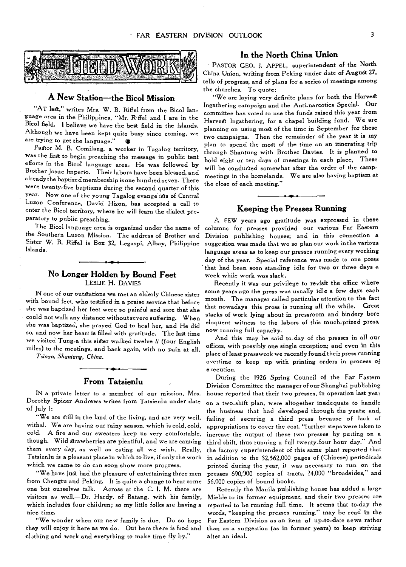

#### **A New Station—the Bicol Mission**

"AT last," writes Mrs. W. B. Riffel from the Bicol lan**guage area in the Philippines, "Mr. R ffel and I are in the**  Bicol field. I believe we have the best field in the Islands. **Although we have been kept quite busy since coming, we**  are trying to get the language."  $\bullet$ 

**Pastor M. B. Comilang, a worker in Tagalog territory, was the first to begin preaching the message in public tent efforts in the Bicol language area. He was followed by**  Brother Josue Imperio. Their labors have been blessed, and **already the baptized membership isone hundred seven. There were twenty-five baptisms during the second quarter of this year. Now one of the young Tagalog evange'ists of Central Luzon Conference, David Hizon, has accepted a call to enter the Bicol territory, where he will learn the dialed preparatory to public preaching.** 

**The Bicol language area is organized under the name of the Southern Luzon Mission. The address of Brother and Sister W. B. Riffel is Box 32, Legaspi, Albay, Philippine Islands.** 

#### **No Longer Holden by Bound Feet**  LESLIE **H.** DAVIES

IN one **of our outstations we met an elderly Chinese sister with bound feet, who testified in a praise service that before she was baptized her feet were so painful and sore that she could not walk any distance without severe suffering. When she was baptized, she prayed God to heal her, and He did so, and now her heart is filled with gratitude. The last time we visited Tung-a this sister walked twelve** *li* **(four English miles) to the meetings, and back again, with no pain at all.** 

*Tsinan, Shantung, China.* 

#### **From Tatsienlu**

IN a **private letter to a member of our mission, Mrs. Dorothy Spicer Andrews writes from Tatsienlu under date of July** 1:

"We **are still in the land of the living, and are very well,**  withal. We **are having our rainy** season, which is cold, cold, cold. A fire and our sweaters keep us very **comfortable, though. Wild** strawberries are **plentiful, and we are canning them every day, as well as eating all we wish. Really, Tatsienlu is a pleasant place in which to live, if only the work which we came to do can soon show more progress.** 

**"We have just had the pleasure of entertaining three men from** Chengtu and Peking. It is quite a change to hear some **one but ourselves talk. Across at the C. I. M. there are visitors as well,—Dr. Hardy, of Batang, with his family, which includes four children; so my little folks are having a**  *nice time.* 

**"We wonder when our new family is due. Do so hope they will enjoy it here as we do. Out here there is food and clothing and work and everything to make time fly by."** 

#### **In the North China Union**

PASTOR CEO. J. APPEL, superintendent of the North **China Union, writing from Peking** under **date of** Augugt 27, **tells of progress, and of plans for a series of** meetings among **the churches. To quote:** 

**"We are laying very definite plans for both the Harvest Ingathering campaign and the Anti-narcotics Special. Our committee has voted to use the funds raised this year from Harvest Ingathering, for a chapel building fund. We** *are*  **planning on using most of the time in September for** these **two campaigns. Then the remainder of the year it is my plan to spend the moat of the time on** an itinerating **trip through Shantung with Brother Davies. It is planned to hold eight or ten days of meetings in each place, These**  will be conducted somewhat after the order of the camp**meetings in the homelands. We are also having baptism at the** close **of each** meeting."

#### **Keeping the Presses Running**

A FEW **years ago gratitude was expressed** in **these columns for presses provided our** various **Far Eastern Division publishing houses; and in this connection a suggestion was made that we so plan** our **work in the various language areas as to keep our presses** running every working **day of the year. Special** reference **was made to one press that had been seen standing idle for two or three days a week while work was** slack.

**Recently it was our privilege to revisit the office where some years ago the press was usually** idle a few days each **month. The manager called particular attention to the fact that nowadays this press is running all the while. Great stacks of** work **lying about in pressroom and bindery bore eloquent witness to the labors of this much-prized press, now running full capacity.** 

**And this may be said to-day of the** presses **in all our offices, with possibly one single exception; and** even in **this place of least presswork we recently found their press running overtime to keep up with printing orders in** process of e :ecution.

**During the 1926 Spring Council of the** Far Eastern **Division Committee the manager of our Shanghai publishing house reported that** their two presses, in **operation last year on a two-shift plan, were altogether inadequate to handle the business that had developed through the** years; **and, failing of securing a third press because of lack** of appropriations to **cover the cost, "further steps were taken to increase the output of these two presses by putting on** a third shift, thus running **a full twenty-four hour day." And the factory superintendent of this same plant reported that in addition to the 32,562,000 pages of (Chinese) periodicals printed during the year, it was necessary to run on the presses 690,000 copies of tracts, 24,000** "broadsides," and 56,000 **copies of bound books.** 

**Recently the Manila publishing house has added a large Miehle to its former equipment,** and their **two presses are reported to be** running full time. It seems **that to-day the words, "keeping the presses running," may be read in the Far Eastern Division as an item of up-to-date news rather than as a suggestion** (as in former years) to **keep striving after an ideal.**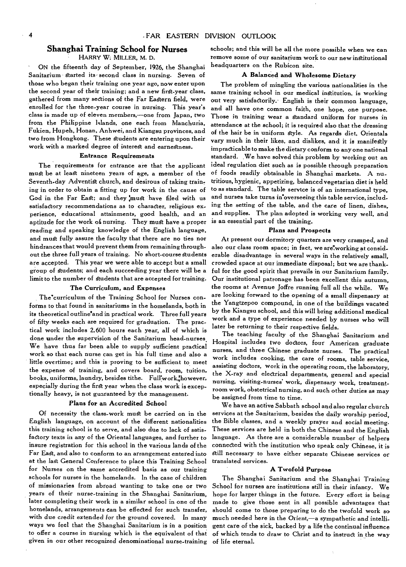#### **Shanghai Training School for Nurses**

HARRY **W:** MILLER, M. D.

ON the fifteenth day of September, 1926, the Shanghai Sanitarium started its second class in nursing. Seven of those who began their training one year ago, now enter upon the second year of their training; and a new first-year class, gathered from many sections of the Far Eastern field, were enrolled for the three-year course in nursing. This year's class is made up of eleven members,—one from Japan, two from the Philippine Islands, one each from Manchuria, Fukien, Hupeh, Honan, Anhwei, and Kiangsu provinces, and two from Hongkong. These Students are entering upon their work with a marked degree of interest and earnestness.

#### Entrance Requirements

The requirements for entrance are that the applicant must be at least nineteen years of age, a member of the Seventh-day Adventist church, and desirous of taking training in order to obtain a fitting up for work in the cause of God in the Far East; and they must have filed with us satisfactory recommendations as to character, religious experience, educational attainments, good health, and an aptitude for the work o£ nursing. They must have a proper reading and speaking knowledge of the English language, and must fully assure the faculty that there are no ties nor hindrances that would prevent them from remaining throughout the three full years of training. No short-course students are accepted. This year we were able to accept but a small group of students; and each succeeding year there will be a limit to the number of students that are accepted for training.

#### **The Curriculum, and Expenses**

The curriculum of the Training School for Nurses conforms to that found in sanitariums in the homelands, both in its theoretical outline and in practical work. Three full years of fifty weeks each are required for graduation. The practical work includes 2,600 hours each year, all of which is done under the supervision of the Sanitarium head-nurses. We have thus far been able to supply sufficient practical work so that each nurse can get in his full time and also a little overtime; and this is proving to be sufficient to meet the expense of training, and covers board, room, tuition, books, uniforms, laundry, besides tithe. Full'work, however, especially during the first year when the class work is exceptionally heavy, is not guaranteed by the management.

#### **Plans for an Accredited School**

Of necessity the class-work must be carried on in the English language, on account of the different nationalities this training school is to serve, and also due to lack of satisfactory texts in any of the Oriental languages, and further to insure registration for this school in the various lands of the Far East, and also to conform to an arrangement entered into at the last General Conference to place this Training School for Nurses on the same accredited basis as our training schools for nurses in the homelands. In the case of children of missionaries from abroad wanting to take one or two years of their nurse-training in the Shanghai Sanitarium, later completing their work in a similar school in one of the homelands, arrangements Can be effected for such transfer, with *due credit* extended for the ground *covered.* In many ways we feel that the Shanghai Sanitarium is in a position to offer a course in nursing which is the equivalent of that given in our other recognized denominational nurse-training

schools; and this will be all the more possible when we can remove some of our sanitarium work to our new institutional headquarters on the Rubicon site.

#### **A Balanced and Wholesome Dietary**

The problem of mingling the various nationalities in the same training school in our medical institution, is working out very satisfactorily.- English is their common language, and all have one common faith, one hope, one purpose. Those in training wear a standard uniform for nurses in attendance at the school; it is required also that the dressing of the hair be in uniform style. As regards diet, Orientals vary much in their likes, and dislikes, and it is manifestly impracticable to make the dietary conform to any one national standard. We have solved this problem by working out an ideal regulation diet such as is possible through preparation of foods readily obtainable in Shanghai markets. A nutritious, hygienic, appetizing, balanced vegetarian diet is held to as standard. The table servtce is of an international type, and nurses take turns in'overseeing this table service, including the setting of the table, and the care of linen, dishes, and supplies. The plan adopted is working very well, and is an essential part of the training.

#### **Plans and Prospects**

At present our dormitory quarters are very cramped, and also our class room space; in fact, we are'working at considerable disadvantage in several ways in the relatively small, crowded space at our immediate disposal; but we are thankful for the good spirit that prevails in our Sanitarium family. Our institutional patronage has been excellent this autumn, the rooms at Avenue Joffre running full all the while. We are looking forward to the opening of a small dispensary at the Yangtzepoo compound, in one of the buildings vacated by the Kiangsu school, and this will bring additional medical work and a type of experience needed by nurses who will later be returning to their respective fields.

The teaching faculty of the Shanghai Sanitarium and Hospital includes two doctors, four *American* graduate nurses, and three Chinese graduate nurses. The practical work includes cooking, the care of rooms, table service, assisting doctors, work in the operating room, the laboratory, the X-ray and electrical departments, general and special nursing, visiting-nurses' work, dispensary work, treatment.. room work, obstetrical nursing, and such other duties as may be assigned from time to time.

We have an active Sabbath school and also regular church services at the Sanitarium, besides the daily worship period, the Bible classes, and a weekly prayer and social meeting. These services are held in both the Chinese and the English language. As there are a considerable number of helpers connected with the institution who speak only Chinese, it is still necessary to have either separate Chinese services or translated services.

#### **A Twofold Purpose**

The Shanghai Sanitarium and the Shanghai Training School for nurses are institutions still in their infancy. We hope for larger things in the future. Every effort is being made to give those sent in all possible advantages that should come to those preparing to do the twofold work so much needed here in the Orient,—a sympathetic and intelligent care of the sick, backed by a life the continual influence of which tends to draw to Christ and to instruct in the way of life eternal.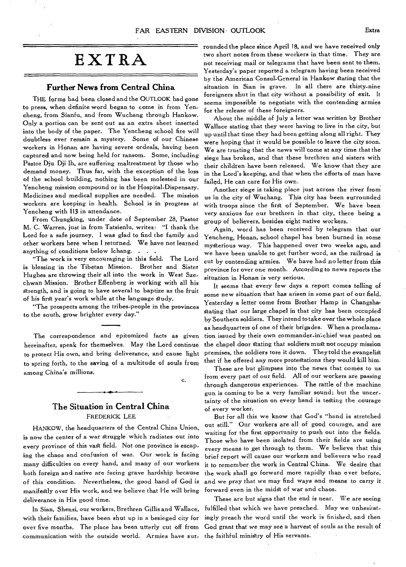## **EXTRA**

#### **Further News from Central China**

THE forms had been closed and the OUTLOOK had gone to press, when definite word began to come in from Yencheng, from Sianfu, and from Wuchang through Hankow. Only a portion can be sent out as an extra sheet inserted into the body of the paper. The Yencheng school fire will doubtless ever remain a mystery. Some of our Chinese workers in Honan are having severe ordeals, having been captured and now being held for ransom. Some, including Pastor Dju Dji lh, are suffering maltreatment by those who demand money. Thus far, with the exception of the loss of the school building, nothing has been molested in our Yencheng mission compound or in the Hospital-Dispensary. Medicines and medical supplies are needed. The mission workers are keeping in health. School is in progress at Yencheng with 113 in attendance.

From Chungking, under date of September 28, Pastor M. C. Warren, just in from Tatsienlu, writes: "I thank the Lord for a safe journey. I was glad to find the family and other workers here when I returned. We have not learned anything of conditions below Ichang. . . .

"The work is very encouraging in this field. The Lord is blessing 'in the Tibetan Mission. Brother and Sister Hughes are throwing their all into the work in West Szechwan Mission. Brother Effenberg is working with all his strength, and is going to have several to baptize as the fruit of his first year's work while at the language study.

"The prospects among the tribes-people in the provinces to the south, grow brighter every day."

The correspondence and epitomized facts as given hereinafter, speak for themselves. May the Lord continue to protect His own, and bring deliverance, and cause light to spring forth, to the saving of a multitude of souls from among China's millions.

c.

#### **The Situation in Central China**  FREDERICK LEE

HANKOW, the headquarters of the Central China Union, is now the center of a war struggle which radiates out into every province of this vast field. Not one province is escaping the chaos and confusion of war. Our work is facing many difficulties on every hand, and many of our workers both foreign and native are facing grave hardship because of this condition. Nevertheless, the good hand *of* God is, manifegtly over His work, and we believe that He will bring deliverance in His good time.

In Sian, Shensi, our workers, Brethren Gillis and Wallace, with their families, have been shut up in a besieged city for over five months. The place has been utterly cut off from communication with the outside world. Armies have sur-the faithful ministry of His servants.

rounded the place since April 18, and we have received only two short notes from these workers in that time. They are not receiving mail or telegrams that have been sent to them. Yesterday's paper reported a telegram having been received by the American Consul-General in Hankow stating that the situation in Sian is grave. In all there are thirty-nine foreigners shut in that city without a possibility of exit. It seems impossible to negotiate with the contending armies for the release of these foreigners.

About the middle of July a letter was written by Brother Wallace stating that they were having to live in the city, but up until that time they had been getting along all right. They were hoping that it would be possible to leave the city soon. We are trusting that the news will come at any time that the siege has broken, and that these brethren and sisters with their children have been released. We know that they are in the Lord's keeping, and that when the efforts of man have failed, He can care for His own.

Another siege is taking place just across the river from us in the city of Wuchang. This city has been surrounded with troops since the first of September. We have been very anxious for our brethren in that city, there being a group of believers, besides eight native workers.

Again, word has been received by telegram that our Yencheng, Honan, school chapel has been burned in some mygterious way. This happened over two weeks ago, and we have been unable to get further word, as the, railroad is cut by contending armies. We have had no letter from this province for over one month. According to news reports the *situation in Honan is very serious.* 

It seems that every few days a report comes telling of some new situation that has *arisen in* some part of our field. Yesterday a letter come from Brother Hamp in Changsha, stating that our large chapel in that city has been occupied by Southern soldiers. They intend to take over the whole place as headquarters of one of their brigades. When a proclamation issued by their own commander-in-chief was pasted on the chapel door stating that soldiers must not occupy mission premises, the soldiers tore it down. They told the evangeligt that if he offered any more protegtations they would kill him.

These are but glimpses into the news that comes to us from every part of our field. All of our workers are passing through dangerous experiences. The rattle of the machine gun is coming to be a very familiar sound; but the uncer. tainty of the situation on every hand is testing the courage of every worker.

But for all this we know that God's "hand is stretched out still." Our workers are all of good courage, and are waiting for the first opportunity to push out into the fields. Those who have been isolated from their fields are using every means to *get* through to them. We believe that this brief report will cause our workers and believers who read it to remember the work in Central China. We desire that the work shall go forward more rapidly than ever before, and we pray that we *may find ways* and means to carry it forward even in the midst of war and chaos.

These are but signs that the end is near. We are seeing fulfilled that which we have preached. May we unhesitatingly preach the word until the work is finished, and then God grant that we may see a harvest of souls as the result of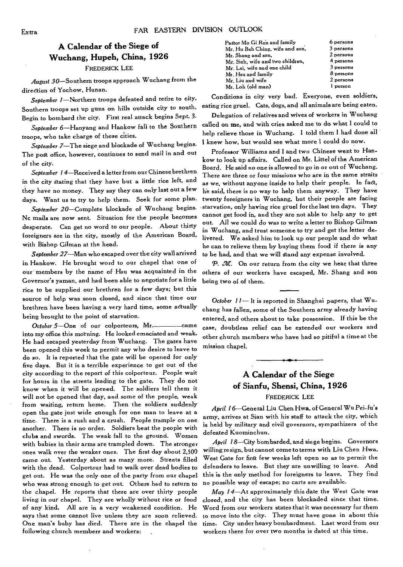### **A Calendar of the Siege of Wuchang, Hupeh, China, 1926**  FREDERICK LEE

*August* 30—Southern troops approach Wuchang from the direction of Yochow, Hunan.

September 1-Northern troops defeated and retire to city. Southern troops set up guns on hills outside city to south. Begin to bombard the city. First real attack begins Sept. 3.

September 6—Hanyang and Hankow fall to the Southern troops, who take charge of these cities.

September 7—The siege and blockade of Wuchang begins. The post office, however, continues to send mail in and out of the city.

September 14-Received a letter from our Chinese brethren in the city stating that they have but a little rice left, and they have no money. They say they can only last out a few days. Want us to try to help them. Seek for some plan.

September 20-Complete blockade of Wuchang begins. Nc mails are now sent. Situation for the people becomes desperate. Can get no word to our people. About thirty foreigners are in the city, mostly of the American Board, with Bishop Gilman at the head.

September 27—Man who escaped over the city wall arrived in Hankow. He brought word to our chapel that one of our members by the name of Hsu was acquainted in the Governor's yaman, and had been able to negotiate for a little rice to be supplied our brethren for a few days; but this source of help was soon closed, and since that time our brethren have been having a very hard time, some actually being brought to the point of starvation.

October  $5$ -One of our colporteurs, Mr. into my office this morning. He looked emaciated and weak. He had escaped yesterday from Wuchang. The gates have been opened this week to permit any who desire to leave to do so. It is reported that the gate will be opened for only five days. But it is a terrible experience to get out of the city according to the report of this colporteur. People wait for hours in the streets leading to the gate. They do not know when it will be opened. The soldiers tell them it will not be opened that day, and some of the people, weak from waiting, return home. Then the soldiers suddenly open the gate just wide enough for one man to leave at a time. There is a rush and a crush. People trample on one another. There is no order. Soldiers beat the people with clubs and swords. The weak fall to the ground. Women with babies in their arms are trampled down. The stronger ones walk over the weaker ones. The first day about 2,500 came out. Yesterday about as many more. Streets filled with the dead. Colporteur had to walk over dead bodies to get out. He was the only one of the party from our chapel who was strong enough to get out. Others had to return to the chapel. He reports that there are over thirty people living in our chapel. They are wholly without rice or food of any kind. All are in a very weakened condition. He says that some cannot live unless they are soon relieved. One man's baby has died. There are in the chapel the following church members and workers:

| Pastor Mo Gi Ren and family      | 6 persons   |
|----------------------------------|-------------|
| Mr. Hu Beh Ching, wife and son,  | $3$ persons |
| Mr. Shang and son,               | 2 persons   |
| Mr. Sieh, wife and two children, | 4 persons   |
| Mr. Lei, wife and one child      | $3$ persons |
| Mr. Hsu and family               | $8$ persons |
| Mr. Liu and wife                 | 2 persons   |
| Mr. Loh (old man)                | i person    |
|                                  |             |

Conditions in city very bad. Everyone, even soldiers, eating rice gruel. Cats, dogs, and all animals are being eaten.

Delegation of relatives and wives of workers in Wuchang called on me, and with cries asked me to do what I could to help relieve those in Wuchang. I told them I had done ail I knew how, but would see what more I could do now.

Professor Williams and I and two Chinese went to Hankow to look up affairs. Called on Mr. Littel of the American Board. He said no one is allowed to go in or out of Wuchang. There are three or four missions who are in the same straits as we, without anyone inside to help their people. In fact, he said, there is no way to help them anyway. They have twenty foreigners in Wuchang, but their people are facing .starvation, only having rice gruel for the last ten days. They cannot get food in, and they are not able to help any to get out. All we could do was to write a letter to Bishop Gilman in Wuchang, and trust someone to try and get the letter delivered. We asked him to look up our people and do what he can to relieve them by buying them food *if* there is any to be had, and that we will stand any expense involved.

P. M. On our return from the city we hear that three others of our workers have escaped, Mr. Shang and son being two of of them.

October  $11$ — It is reported in Shanghai papers, that Wuchang has fallen, some of the Southern army already having entered, and others about to take possession. If this be the case, doubtless relief can be extended our workers and other church members who have had so pitiful a time at the mission chapel.



FREDERICK LEE

April 16—General Liu Chen Hwa, of General Wu Pei-fu's army, arrives at Sian with his staff to attack the city, which is held by military and civil governors, sympathizers of the defeated Kuominchun.

April 18-City bombarded, and siege begins. Governors willing resign, but cannot come to terms with Liu Chen Hwa. West Gate for first few weeks left open so as to permit the defenders to leave. But they are unwilling to leave. And this is the only method for foreigners to leave. They find no possible way of escape; no carts are available.

*May* /4—At approximately this date the West Gate was closed, and the city has *been* blockaded since that time. Word from our workers states that it was necessary for them to move into the city. They must have gone in about this time. City under heavy bombardment. Last word from our workers there for over two months is dated at this time.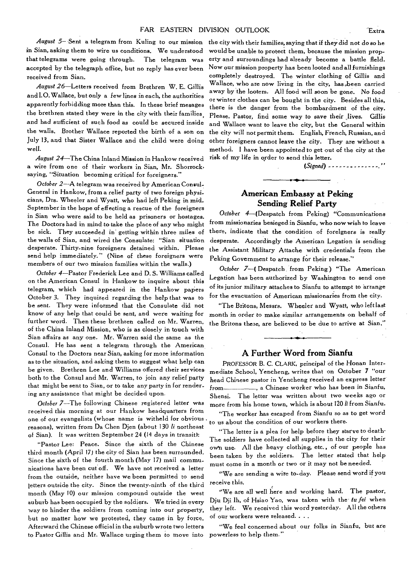*August 5—* Sent a telegram from Kuling to our mission in Sian, asking them to wire us conditions. We understood that telegrams were going through. The telegram was accepted by the telegraph office, but no reply has ever been received from Sian.

*August 26—Letters* received from Brethren W. E. Gillis and **I.O.** Wallace, but only a few lines *in* each, the authorities apparently forbidding more than this. In these brief mesages the brethren stated they were in the city with their families and had sufficient of such food as could be secured inside the walls. Brother Wallace reported the birth of a son on July 13, and that Sister Wallace and the child were doing well.

*August 24—The* China Inland Mission in Hankow received a wire from one of their workers in Sian, Mr. Shorrock, saying, "Situation becoming critical for foreigners."

*October 2—A* telegram was received by American Consul-General in Hankow, from a relief party of two foreign physicians, Drs. Wheeler and Wyatt, who had left Peking in mid-September in the hope of effecting a rescue of the foreigners in Sian who were said to be held as prisoners or hostages. The Doctors had in mind to take the place of any who might be sick. They succeeded in' getting within three miles of the walls of Sian, and wired the Consulate: "Sian situation desperate. Thirty-nine foreigners detained within. Please send help immediately." (Nine of these foreigners were members of our two mission families within the walls.)

*October 4—Pastor* Frederick Lee and D. S. Williams called on the American Consul in Hankow to inquire about this telegram, which had appeared in the Hankow papers October 3. They inquired regarding the help that was to be sent. They were informed that the Consulate did not know of any help that could be sent, and were waiting for further word. Then these brethren called on Mr. Warren, of the China Inland Mission, who is as closely in touch with Sian affairs as any one. Mr. Warren said the same as the Consul. He has sent a telegram through the American Consul to the Doctors near Sian, asking for more information as to the situation, and asking them to suggest what help can be given. Brethren Lee and Williams offered their servicesboth to the Consul and Mr. Warren, to join any relief party that might be sent to Sian, or to take any party in for rendering any assistance that might be decided upon.

*October 7—The* following Chinese registered letter was received this morning at our Hankow headquarters from one of our evangelists (whose name is witheld for obvious reasons), written from Da Chen Djen (about 130 *li* northeast of Sian). It was written September 24 (14 days in transit):

"Pastor Lee: Peace. Since the sixth of the Chinese third month (April 17) the city of Sian has been surrounded. Since the sixth of the fourth month (May 17) mail communications have been cut off. We have not received a letter from the outside, neither have we been permitted to send letters outside the city. Since the twenty-ninth of the third month (May 10) our mission compound outside the west suburb has been occupied by the soldiers. We tried in every way to hinder the soldiers from coming into our property, but no matter how we protested, they came in by force. Afterward the Chinese official in the suburb wrote two letters to Pastor Gillis and Mr. Wallace urging them to move into

the city with their families, saying that if they did not do so he would be unable to protect them, because the mission property and surroundings had already become a battle field. Now our mission property has been looted and all furnishings completely destroyed. The winter clothing of Gillis and Wallace, who are now living in the city, has been carried away by the looters. All food will soon be gone. No food or winter clothes can be bought in the city. Besides all this, there is the danger from the bombardment of the city. Please, Pastor, find some way to *save* their *lives. Gillis*  and Wallace want to leave the city, but the General within the city will not permit them. English, French, Russian, and other foreigners cannot leave the city. They are without a method. I have been appointed to get out of the city at the risk of my life in order to send this letter.

*(Signed)* 

#### **American Embassy at Peking Sending Relief Party**

*October* 4—(Despatch from Peking) "Communications from missionaries besieged in Sianfu, who now wish to leave there, indicate that the condition of foreigners is really desperate. Accordingly the American Legation is sending the Assistant Military Attache with credentials from the Peking Government to arrange for their release."

*October 7—(* Despatch from Peking) "The American Legation has been authorized by Washington to send one of its junior military attaches to Sianfu to attempt to arrange for the evacuation of American missionaries from the city.

"The Britons, Messrs. Wheeler and Wyatt, who left last month in order to make similar arrangements **on** behalf of the Britons there, are believed to be due to arrive at Sian."

#### **A Further Word from Sianfu**

PROFESSOR B. C. CLARK, principal of the Honan Intermediate School, Yencheng, writes that on October *7* "our head Chinese pastor in Yencheng received an express letter from \_\_\_\_\_\_\_\_\_, a Chinese worker who has been in Sianfu, Shensi. The letter was written about two weeks ago or more from his home town, which is about 120 *1i* from Sianfu.

"The worker has escaped from Sianfu so as to get word to us about the condition of our workers there.

"The letter is a plea for help before they starve to death• The soldiers have collected all supplies in the city for their own use. All the heavy clothing, etc. , of our people has been taken by the soldiers. The letter stated that help must come in a month or two or it may not be needed.

"We are sending a wire to-day. Please send word if you receive this.

"We are all well here and working hard. The pastor, Dju Dji Ih, of Hsiao Yao, was taken with the *to fei* when they left. We received this word yesterday. All the others of our workers were released. . . .

"We feel concerned about our folks in Sianfu, but are powerless to help them."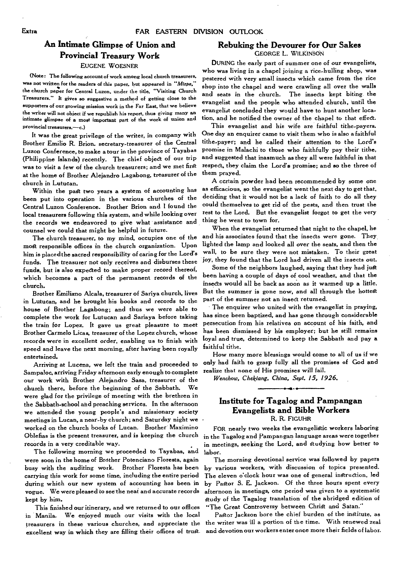### **An Intimate Glimpse of Union and Provincial Treasury Work**

#### EUGENE WOESNER

(Note: The following account of work among local church treasurers. was not written for the readers of this paper, but appeared in "Mizpa," the church paper for Central Luzon, under the title, "Visiting Church Treasurers.\*\* It gives so suggestive a method of getting close to the supporters of our *growing* mission work in the Far East, that we believe the writer will not object if we republish his report, thus giving many an intimate glimpse of **a** most important part of the work of union and provincial treasurers.—c.)

It was the great privilege of the writer, in company with Brother Emilio R. Brion. secretary-treasurer of the Central Luzon Conference, to make a tour in the province of Tayabas (Philippine Islands) recently. The chief object of our trip was to visit a few of the church treasurers; and we met first at the home of Brother Alejandro Lagabong, treasurer of the church in Lutucan.

Within the pagt two years a system of accounting has been put into operation in the various churches of the Central Luzon Conference. Brother Brion and I found the local treasurers following this system, and while looking over the records we endeavored to give what assistance and counsel we could that might be helpful in future.

The church treasurer, to my mind, occupies one of the most responsible offices in the church organization. Upon him is placed the sacred responsibility of caring for the Lord's funds. The treasurer not only receives and disburses these funds, but is also expected to make proper record thereof, which becomes a part of the permanent records of the church.

Brother Emiliano Alcala, treasurer of Sariya church, lives in Lutucan, and he brought his books and records to the house of Brother Lagabong; and thus we were able to complete the work for Lutucan and Sariaya before taking the train for Lopez. It gave us great pleasure to meet Brother Carmelo Licas, treasurer of the Lopez church, whose records were in excellent order, enabling us to finish with speed and leave the next morning, after having been royally entertained.

Arriving at Lucena, we left the train and proceeded to Sampaloc, arriving Friday afternoon early enough to complete our work with Brother Alejandro Sasa, treasurer of the church there, before the beginning of the Sabbath. We were glad for the privilege of meeting with the brethren in the Sabbath-school and preaching services. In the afternoon we attended the young people's and missionary society meetings in Lucan, a near-by church; and Saturday night we worked on the church books of Lucan. Brother Maximino Oblefias is the present treasurer, and is keeping the church records in a very creditable way.

The following morning we proceeded to Tayabas, and were soon in the home of Brother Potenciano Floresta, again busy with the auditing work. Brother Floresta has been carrying this work for some time, including the entire period during which our new system of accounting has been in vogue. We were pleased to see the neat and accurate records kept by him.

This finished our itinerary, and we returned to our offices in Manila. We enjoyed much our visits with the local treasurers in these various churches, and appreciate the excellent way in which they are filling their offices of trust.

#### **Rebuking the Devourer for Our Sakes**  GEORGE L. WILKINSON

DURING the early part of summer one of our evangelists, who was living in a chapel joining a rice-hulling shop, was pestered with very small insects which came from the rice shop into the chapel and were crawling all over the walls and seats in the church. The insects kept biting the evangelist and the people who attended church, until the evangelist concluded they would have to hunt another location, and he notified the owner of the chapel to that effect.

This evangelist and his wife are faithful tithe-payers. One day an enquirer came to visit them who is also a faithful tithe-payer; and he called their attention to the Lord's promise in Malachi to those who faithfully pay their tithe, and suggested that inasmuch as they all were faithful in that respect, they claim the Lord's promise; and so the three of them prayed.

A certain powder had been recommended by some one as efficacious, so the evangelist went the next day to get that, deciding that it would not be a lack of faith to do all they could themselves to get rid of the pests, and then trust the rest to the Lord. But the evangelist forgot to get the very thing he went to town for.

When the evangelist returned that night to the chapel, he and his associates found that the insects were gone. They lighted the lamp and looked all over the seats, and then the wall, to be sure they were not mistaken. To their great joy, they found that the Lord had driven all the insects out.

Some of the neighbors laughed, saying that they had just been having a couple of days of cool weather, and that the insects would all be back as soon as it warmed *up* a little. But the summer is gone now, and all through the hottest part of the summer not an insect returned.

The enquirer who united with the evangelist in praying, has since been baptized, and has gone through considerable persecution from his relatives on account of his faith, and has been dismissed by his employer; but he still remains loyal and true, determined to keep the Sabbath and pay *a faithful* tithe.

How many more blessings would come to all of us if we only had faith to grasp fully all the promises of God and realize that none of His promises will fail.

**Wenchow, Chekiang, China, Sept. 15, 1926.** 

#### **Institute for Tagalog and Pampangan Evangelists and Bible Workers**  R. R. FIGUHR

FOR nearly two weeks the evangelistic workers laboring in the Tagalog and Pampangan language areas were together in meetings, seeking the Lord, and studying how better to labor.

The morning devotional service was followed by papers by various workers, with discussion of topics presented. The eleven o'clock hour was one of general instruction, led by Pastor S. E. Jackson. Of the three hours spent every afternoon in meetings, one period was given to a systematic study of the Tagalog translation of the abridged edition of "The Great Controversy between Christ and Satan."

Pastor Jackson bore the chief burden of the institute, as the writer was ill a portion of the time. With renewed zeal and devotion our workers enter once more their fields of labor.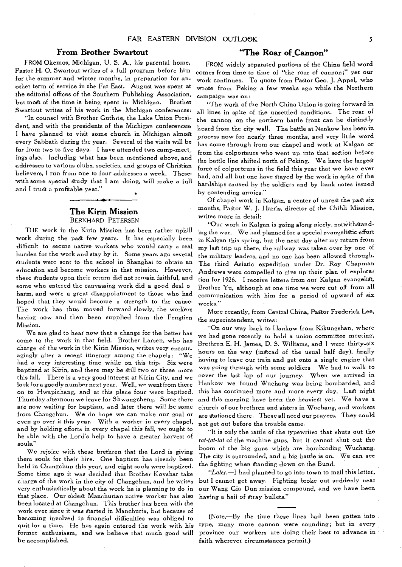#### **From Brother Swartout**

FROM Okemos, Michigan, U. S. A., his parental home, Pastor H. 0. Swartout writes of a full program before him for the summer and winter months, in preparation for another term of service in the Far East. August was spent at the editorial offices of the Southern Publishing Association, but most of the time is being spent in Michigan. Brother Swartout writes of his work in the Michigan conferences:

"In counsel with Brother Guthrie, the Lake Union President, and with the presidents of the Michigan conferences, I have planned to visit some church in Michigan almost every Sabbath during the year. Several of the visits will be for from two to five days. I have attended two camp-meet\_ ings also. Including what has been mentioned above, and addresses to various clubs, societies, and groups of Christian believers, I run from one to four addresses a week. These' with some special study that I am doing, will make a full and I trust a profitable year."

#### **The Kirin Mission**  BERNHARD PETERSEN

THE work in the Kirin Mission has been rather uphill work during the past few years. It has especially been difficult to secure native workers who would carry a real burden for the work and stay by it. Some years ago several Students were sent to the school in Shanghai to obtain an education and become workers in that mission. However, these students upon their return did not remain faithful, and some who entered the canvassing work did a good deal o harm, and were a great disappointment to those who had hoped that they would become a strength to the cause-The work has thus moved forward slowly, the workers having now and then been supplied from the Fengtien Mission.

We are glad to hear now that a change for the better has come to the work in that field. Brother Larsen, who has charge of the work in the Kirin Mission, writes very encouragingly after a recent itineracy among the chapels: "We had a very interesting time while on this trip. Six were baptized at Kirin, and there may be still two or three more this fall. There is a very good interest at Kirin City, and we look for a goodly number next year. Well, we went from there on to Hwapichang, and at this place four were baptized. Thursday afternoon we leave for Shwangcheng. Some there are now waiting for baptism, and later there will be some from Changchun. We do hope we can make our goal or even go over it this year. With a worker in every chapel, and by holding efforts in every chapel this fall, we ought to be able with the Lord's help to have a greater harvest of souls."

We rejoice with these brethren that the Lord is giving them souls for their hire. One baptism has already been held in Changchun this year, and eight souls were baptized. Some time ago it was decided that Brother Kovshar take charge of the work in the city of Changchun, and he writes very enthusiastically about the work he is planning to do in that place. Our oldest Manchurian native worker has also been located at Changchun. This brother has been with the work ever since it was started in Manchuria, but because of becoming involved in financial difficulties was obliged to quit for a time. He has again entered the work with his former enthusiasm, and we believe that much good will be accomplished.

#### **"The Roar of Cannon"**

FROM widely separated portions of the China field word comes from time to time of "the roar of cannon;" yet our work continues. To quote from Pastor Geo. J. Appel, who wrote from Peking a few weeks ago while the Northern campaign was on:

"The work of the North China Union is going forward in all lines in spite of the unsettled conditions. The roar of the cannon on the northern battle front can be distinctly heard from the city wall. The battle at Nankow has been in process now for nearly three months, and very little word has come through from our chapel and work at Kalgan or from the colporteurs who went up into that section before the battle line shifted north of Peking. We have the largest force of colporteurs in the field this year that we have ever had, and all but one have stayed by the work in spite of the hardships caused by the soldiers and by bank notes issued by contending armies."

Of chapel work in Kalgan, a center of unrest the past six months, Pastor W. J. Harris, director of the Chihli Mission, writes more in detail:

"Our work in Kalgan is going along nicely, notwithstanding the war. We had planned for a special evangelistic effort in Kalgan this spring, but the next day after my return from my lagt trip up there, the railway was taken over by one of the military leaders, and no one has been allowed through. The third Asiatic expedition under Dr. Roy Chapman Andrews were compelled to give up their plan of explora: tion for 1926. I receive letters from our Kalgan evangelist, Brother Yu, although at one time we were cut off from all communication with him for a period of upward of six weeks."

More recently, from Central China, Pastor Frederick Lee, the superintendent, writes:

"On our way back to Hankow from Kikungshan, where we had gone recently to hold a union committee meeting, Brethren E. H. James, D. S. Williams, and I were thirty-six hours on the way (instead of the usual half day), finally having to leave our train and get onto a single engine that was going through with some soldiers. We had to walk to cover the last lap of our journey. When we arrived in Hankow we found Wuchang was being bombarded, and this has continued more and more every day. Last night and this morning have been the heaviest yet. We have a church of our brethren and sisters in Wuchang, and workers are stationed there. These all need our prayers. They could not get out before the trouble came.

"It is only the rattle of the typewriter that shuts out the *rat-tat-tat* of the machine guns, but it cannot shut out the boom of the big guns which are bombarding Wuchang. The city is surrounded, and a big battle is on. We can see the fighting when standing down on the Bund.

*"Later.—I* had planned to go into town to mail this letter, but I cannot get away. Fighting broke out suddenly near our Wang Gia Dun mission compound, and we have been having a hail of stray bullets."

(Note.—By the time these lines had been gotten into type, many more cannon were sounding; but in every province our workers are doing their best to advance in ' faith wherever circumstances permit.)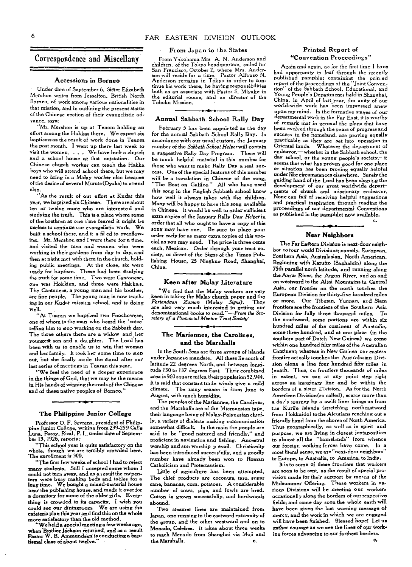### Correspondence and Miscellany

#### **Accessions in Borneo**

Under date of September 6, Sister Elizabeth Mershon writes from Jesselton, British North Borneo, of work among various nationalities in that mission, and in outlining the present status cf the Chinese section of their evangelistic advance, says:

"Mr. Mershon is up at Tenom holding an effort among the Hakkas there. We expect six baptisms as the result of work done in Tenom the past month. I went up there last week to visit the women. . . . We have built a church and a school house at that outstation. Our Chinese church worker can teach the Hakka boys who will attend school there, but we may need to bring in a Malay worker also because of the desire of several Muruts (Dyaks) to attend also.

"As the result of our effort at Kudat this year, we baptized six Chinese. There are about ten or twelve more who are interested and studying the truth. This is a place where some of the brethren at one time feared it might be *useless* to continue our evangelistic work. *We*  built a school there, and it s fil ed to overflowing. Mr. Mershon and I were there for a time, and visited the men and women who were *working in their* gardens from day to day, and then at night met with them in the church, holding public meetings. At the close, six were ready for baptism. These had been studying the truth for some time. Two were Cantonese, one was Hokkien, and three were Hakkas. The Cantonese, a young man and his brother, are fine people. The young man is now teaching in our Kudat *missicn* school, and *is* doing well.

"At Tuaran we baptized two Foochowese, one of whom is the man who heard the 'voice telling him to stop working on the Sabbath day. The three others there are a widow and her youngest son and a daughter. The Lord has been with *us* to enable us to win that woman and her family. It took her some time to step out, but she finally made the stand after our last series of meetings in Tuaran this year.

"We feel the need of a deeper experience in the things of God, that we may be the means in His hands of winning the souls of the Chinese and of these native peoples of Borneo."

#### **The Philippine Junior College**

Professor 0. F. Sevrens, president of Philippine Junior College, writing from 239-259 Calle<br>Luna, Pasay, Rizal, P. I., under date of September 13, 1926, reports :

"This school year is quite satisfactory on the whole, though we are terribly crowded here. The *enrollment is* 300.

"The first few weeks of school I had to reject many students. Still I accepted some whom I could not turn away, and as a result the carpen-ters were busy making beds and tables for a long time. We bought a mixed-material house near the publishing house, and made it over for a dormitory for some of the older girls. Everything is crowded to its capacity. I wish you could see our diningtoom. We are using the cafeteria plan this year and find this on the whole more satisfactory than the old method.

We held a special meeting a few weeks ago. when Brother Jackson returned, and as a result Pastor W. B. Ammundsen is conducting a baptismal class of about twelve."

#### **From Japan to tha States**

From Yokohama Mrs A. N. Anderson and children, of the Tokyo headquarters, sailed for San Francisco, October 2, where Mrs. Anderson will reside for a time. Pastor Alfonso N. Anderson remains in Tokyo in order to continue his work there, he having responsibilities both as an associate with Pastor S. Miyake in the editorial rooms, and as director of the Tohoku Mission.

#### **Annual Sabbath. School Rally Day**

February 5 has been appointed as the day for the annual Sabbath School Rally Day. In accordance with our usual custom, the January number of the *Sabbath School Helper* will contain a suggestive Rally Day Program. There will be much helpful material in this number for those who want to make Rally Day a real success. One of the special features of this number will be a translation in Chinese of the song, "The Boat *on* Galilee." All who have used this song in the English Sabbath school know how well it always takes with the children. Many will be happy to have th's song available in Chinese. It would be well to order sufficient extra copies of the January Rally *Day Helper in*  order that all who ought to have a copy of this song may have one. Be sure to place your order early for as many extra copies of this special as you may need. The price is three cents each, Mexican. Order through your tract society, or direct of the Signs of the Times Publishing House, 25 Ningkuo Road, Shanghai, China.

#### **Keen after Malay Literature**

"We find that the Malay workers are very **keen in taking the Malay church paper and the Pertandaan** Zaman (Malay Signs). They *Pertandaan Zaman (Malay Signs). are also* very much interested in getting our denominational books to *read."—From the Secretary of a Provincial Mission Traci Society'* 

#### **The Mariannes, the Carolines, and the Marshalls**

In the South Seas are three groups of islands under Japanese mandate. All these lie south of latitude 22 degrees North, and between longitude 130 to 137 degrees East. Their combined area is 960 square miles, their population 52,944. It is said that constant trade winds give a mild The rainy season is from June to August, with much humidity.

The peoples of the Mariannes, the Carolines, and the Marshalls are of the Micronesian type, their language being of Malay-Polynesian chiefly, a variety of dialects making communication somewhat difficult. In the main the people are said to be "good natured and friendly," and proficient in navigation and fishing. Ancestral worship and sun worship p evail. Christianity has been introduced successfully, and a goodly number have already been won to Roman Catholicism and Protestantism.

Little of agriculture has been attempted. The chief products are coconuts, taro. sugar cane, bananas, corn, potatoes. A considerable number of cows, pigs, and fowls are bred. Cotton is grown successfully, and hardwoods abound.

Two steamer lines are maintained from Japan, one running to the eastward extremity of the group, and the other westward and on to Menado, Celebes. It takes about three weeks to reach Menado from Shanghai via Moji and the Marshalls.

#### **Printed Report of "Convention Proceedings"**

Again and again, as for the first time I have had opportunity to leaf through the recently published pamphlet containing the prin.ed<br>report of the proceedings of the "Joint Convenreport of the proceedings of the tion" of the Sabbath School, Educational, and Young People's Departments held in Shanghai, China, in April of last year, the unity of our world-wide work has been impressed anew upon my mind. In the formative stages of our departmental work in the Far East, it is worthy of *remark* that in general the plans that have been evolved through the years of progress and success in the homeland, are proving equally Practicable as they are set into operation in Oriental lands. Whatever the department of endeavor,—whether in the Sabbath school, the day school, or the young people's society,- it seems that what has proven good for one place or situation has been proving equally helpful *under like* circumstances elsewhere. Surely the guiding hand of the Lord has been shaping the development of our great worldwide depart ments of church and missionary endeavor. None can fail of receiving helpful suggestions and practical inspiration through reading the proceedings of our departmental Conventions as published in the pamphlet now available.

C.

#### **Near Neighbors**

The Far Eastern Division is next-door neighbor *to tour* world *Divisions; namely,* European, Southern Asia, Australasian, North American. Beginning with Karufto (Saghalein) along the 75th parallel north latitude, and running along the Amur *River, the Argun River,* and *on* and on westward to the Altai Mountains in Central Asia, our frontier on the north touches the European Division for thirty-five hundred miles or more. Our Tibetan, *Yunnan, ard Siam*  frontiers are the frontiers of the Southern Asia Division for fully three thousand miles. To the southward, some portions are within six hundred miles of the *continent of Australia.*  some three hundred, and at one place (in the southern part of Dutch New Guinea) we come within one hundred fifty miles of the Australian Continent; whereas in New Guinea our *eastern*  frontier actually touches the Australasian Division along a line four hundred fifty miles in length. Thus, on frontiers thousands of miles in extent, we can at any point step right across an imaginary line and be within the borders of a sister Division. As for the North American Division(so called), scarce more than a da<sub>i</sub>'s journey by a swift liner brings us from tae Kurile Islands (stretching northeastward from Hokkaido) to the Aleutians reaching out a friendly hand from the shores of North America. Thus geographically, as well as in spirit and purpose, we are living in closest juxtaposition to almost all the "homelands" from whence our foreign working fcrces have come. In a most literal sense, we are "next-door neighbors' to Europe, to Australia, to America. to India.

It is to some of these frontiers that workers are soon to be sent, as the result of special provision made for their support by means of the Midsummer Offering. These workers in various Divisions will Le meeting our workers occasionally along the borders of our respective fields; and some day soon the whole earth will have been given the last warning message of mercy, and the work in which we are engaged will Lave been finished. Blessed hope! Let us gather courage as we see the lines of our working *forces* advancing to our farthest borders.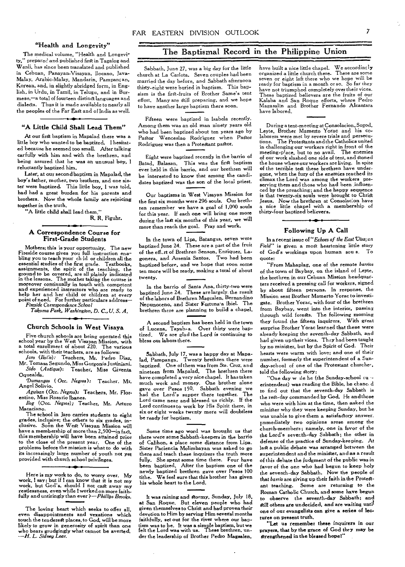#### "Health and Longevity"

The medical volume, "Health and Longevity," prepared and published first in Tagalog and Wenli, has since been translated and published in Cebuan, Panayan-Visayan, Ilocano, Java-Malay, Arabic-Malay, Mandarin, Pampang an, Korean, and, in slightly abridged form, in English, in Urdu, in Tamil, in Telugu, and in Burmese,—a total of fourteen distinct languages and dialects. Thus it is made available to nearly all the peoples of the Far East and of India as well.

#### "A Little Child Shall Lead Them"

At our first baptism in Mapalad there was a little boy who wanted to be baptized. I hesitated because he seemed too small. After talking carfully with him and with the brethren, and being assured that he was an unusual boy, I reluctantly baptized him.

Later, at our second baptism in Mapalad, the boy's father, mother, two brothers, and one sister were baptized. This little boy, I was told, had had a great burden for his parents and brothers. Now the whole family are rejoicing together in the truth.

"A little child shall lead them."

#### R. R. Figuhr.

#### A Correspondence Course for First-Grade Students

Mothers; this is your opportunity. The new Fireside course gives you full instruction enabling you to teach your ch Id or children all the essential studies of the first grade. Textbooks, assignments, the spirit of the teaching, the ground to be covered, are all plainly indicated in the lessons. The mother taking the course is moreover continually in touch with competent and experienced instructors who are ready to help her and her child or children at every point of need. For further particulars address— *Fireside Correspondence School* 

*Takoma Park, Washington, D. C., U. S. A.* 

#### Church Schools in West Visaya

Five church schools are being operated this school year by the West Visayan Mission, with a total enrollment of about 220. The various schools, with their teachers, are as follows:

*Jars (lloi!o):* Teachers, Mr. Pedro Diaz, Mr. Tomasa Segundo, Miss Gorgonia Justiniani. *Sido (Antique):* Teacher, Miss Giventa

Oquealda. *Dumangas ( Occ. Negros):* Teacher. Mr. Angel Solivio.

*Aguisan (Occ. Negros):* Teachers, Mr. Florentino, Miss Rosario Ibanes.

*hog (Occ. Negros);* Teacher, Mr. Arturo Macaciano.

The school in Jaro carries students to eight grades, inclusive; the others to six grades, inclusive. Soon the West Visayan Mission will have a membership of more than 2,500-in fact, this membership will have been attained prior to the close of the present year. One of the problems before the mission is what to do with its increasingly large number of youth not yet provided with church school privileges.

Here is *my* work to do, to worry over. My work. I say; but if I can know that it is not my work, but God's, should I not cast away my restlessness, even while I worked on more faithfully and untiringly than ever *?—Phillips Brooks.* 

#### The Baptismal Record in the Philippine Union

Sabbath, June 27, was a big day for the little church at La Carlota. Seven couples had been married the day before, and Sabbath afternoon thirty-eight were buried in baptism. This bapsism is the first-fruits of Brother Same's tent effort. Many are dill preparing, and we hope to have another large baptism there soon.

Fifteen were baptized in Isabela recently. Among them was an old man ninety years old who had been baptized about ten years ago by Pastor Wenceslao Rodriguez when Pastor Rodriguez was then a Protestant pastor.

Eight were baptized recently in the barrio of Batad, Balasan. This was the first baptism ever held in this barrio, and our brethren will be interested to know that among the candidates baptized was the son of the local priest.

Our baptisms in West Visayan Mission for the first six months were 296 souls. Our brethren remember we have a goal of 1,000 souls for this year. If each one will bring one more during the last six months of this year, we will more than reach the goal. Pray and work.

In the town of Lips, Batangas, seven were baptized June 24. These are a part of the fruit of the eff..rt of Brethren Senson, Enriquez, Lagonera, and Arsenia Santos. Two had been baptized before, and we hope that soon some ten more will be ready, making a total of about twenty.

In the barrio of Santa Ana, thirty-two were baptized June 24. These are largely the result of the labors of Brethren Magcalen, Bernandino Nepunoceno, and Sister Fortuna'a lbiel. The brethren there are planning to build a chapel.

A second baptism has been held in the town of Lucena, Tayabas. Over thirty were baptized. We are glad the Lord is continuing to bless out labors there.

Sabbath, July 17, was a happy day at Mapalad, Pampanga. Twenty brethren there were baptized. One of them was from Sta. Cruz. and nineteen from Mapalad. The brethren there have completed a very nice chapel. It has taken much work and money. One brother alone gave over Pesos 150. Sabbath evening we had the Lord's supper there together. The Lord came near and blessed us richly. If the Lord continues to work by His Spirit there, in six or eight weeks twenty more will doubtless be ready for baptism.

Some time ago word was brought us that there were some Sabbath-keepers in the barrio of Calihon, a place some distance from Lipa. Sister Paciencia Molimbayan was asked to go there and teach these inquirers the truth more fully. She spent some time there. Four have been baptized. After the baptism one of the newly baptized brethren gave over Pesos 100 tithe. We feel sure that this brother has given his whole heart to *the* Lord.

It was raining and Stormy, Sunday, July 18, at San Roque. But eleven people who had given themselves to Christ and had proven their devotion to Him by serving Him several months faithfully, set out for the river where our baptism was to be. It was a simple baptism, but we felt the Lord was with us. These brethren, under the leadership of Brother Pedro Magsalen,

have built a nice little chapel. We accordingly organized a little church there. There are some seven or eight left there who we hope will be ready for baptism in a month or so. So far they have not triumphed completely over their vices. These baptized believers are the fruits of our Kalaba and San Roque efforts, where Pedro Magasalin and Brother Fernando Alcantara have labored.

During a tent-meeting at Consolation, Sogod, Leyte, Brother Mamerto Yorac and his colaborers were met by severe trials and persecu-The Protestants and the Catholics united in challenging our workers right in front of the meeting-place, but to no avail. The enemies of our work slashed one side of tent, and stoned the house where our workers are living. In spite of the terrible teat these brethren have undergone, when the fury of the enemies reached its climax the Lord was among the workers preserving them and those who had been influenced by the preaching; and the happy sequence is that twenty-six souls were brought to Christ Jesus. Now the brethren at Consolac:on have a nice little chapel with a membership of thirty-four baptized believers.

#### Following Up A Call

In a recent issue of *"Echoes of the East Visa; cn Field"* is given a most heartening little story of God's workings upon human sou s. To

"From Mahaplag, one of the remote *barrios* of the town of Baybay, on the island of Leyte, the brethren in our Cebuan Mission headquarters received a pressing call for workers, signed by about fifteen persons. In response, the Mission sent Brother Mamerto Yorac to investigate. Brother Yorac, with four of the brethren from Baybay, went into the interior, passing through wild forests. The following morning they found the fifteen inquirers. With great surprise Brother Yorac learned that these were already keeping the *seventh-day* Sabbath, and had given up their vices. They had been taught by no minister, but by the Spirit of God. Their hearts were warm with love; and one of their number, formerly the superintendent of a Sunday-school of one of the Protestant churche-, told the following story:

"One day waile he (the Sunday-school cuperintendent) was reading the Bible, he chanced to find out that the seventh-day Sabbath is the rest-day commanded by God. He and those who were with him at the time, then asked the minister why they were keeping Sunday, but he was unable to give them a satisfactory answer. Immediately two opinions arose among the church-members; namely, one in favor of the the Lord's seventh-day Sabbath; the other in defense of the practice of Sunday-keeping. At last a public debate was arranged between the superintendent and the minister, and as a result of this debate the judgment of the public was in favor of the one who had begun to keep holy the seventh-day Sabbath. Now the people of that *barrio* are giving up their faith in the Protestant teaching. Some are returning to the Roman Catholic Church, and some have begun to observe the seventh-day Sabbath; and Still others are undecided, and are waiting until one of our evangelids can give a series of lectures on present truth.

*"Let us* remember these inquirers in our prayers, *that* by *the* grace of God they may be Strengthened in the blessed hopel"

.•:01.1•01=ma

The loving heart which seeks to offer all, even disappointments and vexations which touch the tenderest places, to God, will be more likely to grow in generosity of spirit than one who bears grudgingly what cannot be averted.<br>*--H. L. Sidney Lear*.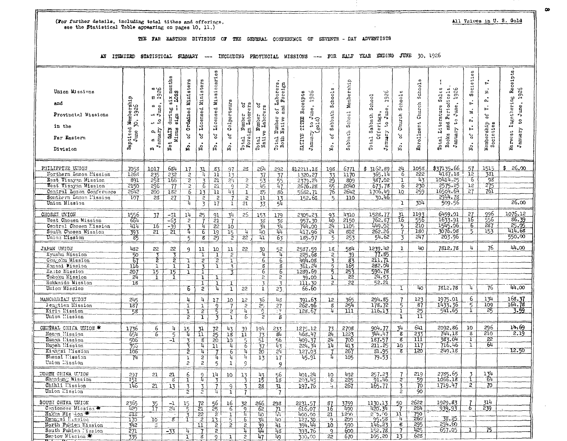(For further details, including total tithes and offerings, see the Statistical Table appearing on pages 10, 11.)

#### THE FAR EASTERN DIVISION OF THE GENERAL CONFERENCE OF SEVENTH - DAY ADVENTISTS

AN ITEMIZED STATISTICAL SUMMARY --- INCLUDING PROVINCIAL MISSIONS --- FOR HALF YEAR ENDING JUNE 30, 1926

| Union Missions<br>and<br>Provincial Missions<br>in the<br>Far Eastern<br>Division                                                                                 | Baptized Membership<br>June 30, 1926                  | 1926<br>$\frac{1}{\text{June}}$<br>و ب<br>a p<br>gramary<br>۰,<br>w | six months<br>LOSS<br>s1x<br>$\texttt{dwring}$<br>81.gn<br><b>CLAIN</b><br>Minus<br>Net | Ordained Ministers<br>ð<br>ដំ                                            | Licensed Ministers<br>g<br>No.                                             | Licensed Missionaries<br>ď<br>No.                                                                | Colporteurs<br>$\mathfrak{p}$<br>No.                         | Total Number of<br>Foreign Laborers                                            | đ<br>Number of<br>e Laborers<br>Total N<br>Native                             | Laborers,<br>d Poreign<br>ad<br>$5^{\circ}$<br>Number<br>Native<br>Total<br>Both | -r <sup>v</sup> to June, 1926<br>(gold)<br>Receipts<br>TITED<br>$J$ amary<br>NATIVE | Schools<br>Sabbath<br>đ<br>$\mathbf{v}_\circ$                        | Membership<br>School<br>Sabbath                        | 1926<br>School<br>June.<br>Offerings,<br>Total Sabbath<br>$\Omega$<br>Jamary | Schoole<br>Church<br>م<br>م<br>$N_{\rm O}$ .       | Schools<br>Church<br>Enrollment                                   | Books and Periodicals.<br>$S \odot 1 \epsilon$ s<br>1926<br>to June,<br>Literature<br>January<br>Total | Societies<br>$\ddot{r}$<br>ź<br>$\mathbf{a}_4^*$<br>ř.<br>م.<br>م<br>No. | P.<br>ż.<br>å,<br>÷.<br>٩Ļ<br>Membership<br>Societies | Harvest Ingathering Receipts<br>June, 1926<br>$\mathbf{c}$<br>Arence<br>۰, |
|-------------------------------------------------------------------------------------------------------------------------------------------------------------------|-------------------------------------------------------|---------------------------------------------------------------------|-----------------------------------------------------------------------------------------|--------------------------------------------------------------------------|----------------------------------------------------------------------------|--------------------------------------------------------------------------------------------------|--------------------------------------------------------------|--------------------------------------------------------------------------------|-------------------------------------------------------------------------------|----------------------------------------------------------------------------------|-------------------------------------------------------------------------------------|----------------------------------------------------------------------|--------------------------------------------------------|------------------------------------------------------------------------------|----------------------------------------------------|-------------------------------------------------------------------|--------------------------------------------------------------------------------------------------------|--------------------------------------------------------------------------|-------------------------------------------------------|----------------------------------------------------------------------------|
| PHILIPPINE UNION<br>Northern Luzon Mission<br>East Visayan Mission<br>West Visayan Mission<br>Central Luzon Conference<br>Southern Luzon Lission<br>Union Mission | 7058<br>1268<br>891<br>2150<br>2542<br>107            | 1017<br>$\frac{235}{258}$<br>596<br>200<br>23                       | 684<br>232<br>165<br>$\overline{7}\overline{7}$<br>182<br>$\overline{27}$               | 17<br>$\overline{c}$<br>$\overline{2}$<br>$\overline{2}$<br>ъ<br>ĩ<br>TI | $\frac{31}{4}$<br>$\frac{3}{6}$<br>$\overline{13}$<br>T<br>$\overline{3}$  | $\frac{83}{11}$<br>$\overline{21}$<br>21<br>$\overline{11}$<br>$\overline{c}$<br>$\overline{17}$ | 97<br>13<br>51<br>$\overline{9}$<br>43<br>7<br>1             | 25<br>$\overline{2}$<br>$\overline{2}$<br>$\mathbf{I}$<br>$\overline{2}$<br>21 | 264<br>$\frac{37}{53}$<br>85<br>ïΪ<br>33                                      | 292<br>$\overline{37}$<br>$\frac{55}{147}$<br>86<br>$\frac{13}{54}$              | \$12211,13<br>1320.27<br>2379.24<br>2676.28<br>5682.71<br>152.65                    | 198<br>$\frac{33}{29}$<br>76<br>$5^{\circ}$                          | 6771<br>1170<br>809<br>2040<br>2642<br>110             | \$3162.89<br>365.14<br>387.02<br>673.78<br>1706.49<br>30.46                  | 51<br>6<br>T<br>ъ<br>10<br>$\overline{\mathbf{1}}$ | 1058<br>555<br>43<br>230<br>259<br>304                            | \$37135.66<br>4137.18<br>10414.25<br>$-2575.25$<br>16504.64<br>2944.78<br>509.56                       | 51<br>12<br>75<br>ΊŹ<br>$\overline{27}$                                  | 1515<br>331<br>-98<br>275<br>761                      | \$26.00<br>26.00                                                           |
| CHOSEN UNION<br>West Chosen Mission<br>Central Chosen Lission<br>South Chosen Mission<br>Union Mission                                                            | $\frac{1556}{664}$<br>414<br>393<br>85                | 37<br>16<br>51                                                      | $-31$<br>$-63$<br>$\frac{-39}{21}$                                                      | 14<br>$\overline{z}$<br>$\frac{3}{4}$<br>5                               | 25<br>4<br>7<br>$\overline{\mathbf{g}}$                                    | 91<br>$\overline{21}$<br>$\overline{22}$<br>$\frac{19}{29}$                                      | 34<br>-7<br>$\overline{10}$<br>15<br>ã                       | 25<br>4<br>$\overline{22}$                                                     | 153<br>$\frac{38}{34}$<br>40<br>πт                                            | 179<br>38<br>34<br>щT<br>63                                                      | 2305.23<br>$\frac{957.30}{744.00}$<br>417.96<br>185.97                              | 93<br>Ιю<br>$\overline{24}$<br>5 <sup>1</sup><br>5                   | 4310<br>2150<br>1105<br>802<br>253                     | 1528.77<br>762.87<br>449.02<br>262.26<br>54.62                               | $rac{31}{16}$<br>$\overline{5}$<br>3               | 1193<br>$\frac{556}{210}$<br>130<br>247                           | 6459.01<br>1633.91<br>1545.06<br>3076.08<br>203.96                                                     | $rac{27}{16}$<br>$\overline{6}$<br>5                                     | 996<br>$\frac{556}{287}$<br>153                       | 1076.12<br>86.39<br>25.05<br>414.68<br>550.00                              |
| JAPAN UNION<br>Kyushu Mission<br>Chugola Mission<br>Konsai Mission<br>Kanto Mission<br>Tohoku Mission<br>Hokkaido Mission<br>Union Mission                        | 482<br>50<br>67<br>116<br>207<br>24<br>18             | 22<br>క్<br>T<br>15<br>1                                            | 22<br>र<br>ź<br>T<br>15<br>1                                                            | 9<br>ī<br>ı<br>6.                                                        | 11<br>T<br>$\overline{2}$<br>3<br>ı<br>T<br>$\mathbf{I}$<br>$\overline{2}$ | 10<br>T<br>$\overline{c}$<br>T<br>ı<br>ī<br>17                                                   | 11<br>$\overline{z}$<br>T<br>3<br>3<br>$\frac{1}{1}$         | 22<br>55                                                                       | $\frac{30}{4}$<br>5<br>$\overline{g}$<br>6<br>$\overline{2}$<br>$\frac{3}{1}$ | 52<br>ᠮ<br>6<br>$8_{-}$<br>6<br>$\overline{2}$<br>3<br>23.                       | 2587.59<br>225.68<br>494.08<br>361.24<br>1289.69<br>39.00<br>111.30<br>66.60        | 18<br>$\overline{c}$<br>3<br>5<br>5<br>ı<br>$\overline{c}$           | 584<br>39<br>$\overline{83}$<br>165<br>253<br>22<br>22 | 1239.42<br>77.85<br>211.71<br>282.04<br>590.78<br>24.83<br>52.21             | $\mathbf{1}$<br>ī                                  | 40<br>40                                                          | 7812.78<br>7812.78                                                                                     | 4<br>4                                                                   | 76<br>76                                              | 44.00<br>44.00                                                             |
| MANCHURIAN UNION<br>Fengtien Lission<br>Kirin Mission<br>Union Mission                                                                                            | 245<br>187<br>58                                      |                                                                     |                                                                                         | 4<br>ī<br>т<br>ī                                                         | 4<br>$\overline{1}$<br>$\overline{z}$<br>ī                                 | 17<br>$\frac{9}{5}$                                                                              | 10<br>7<br>2<br>ĩ                                            | 12<br>$\overline{2}$<br>Ų<br>Б                                                 | 36<br>$\frac{25}{2}$                                                          | 43<br>$\overline{27}$<br>$\frac{17}{8}$                                          | 391.63<br>262.96<br>128.67                                                          | 12 <sup>°</sup><br>g<br>τ                                            | 365<br>254<br>111                                      | 294.85<br>178.72<br>116.13                                                   | $\overline{I}$<br>5<br>Í<br>r                      | 123<br>$\overline{87}$<br>$\frac{25}{11}$                         | 1975.01<br>1433.36<br>541.65                                                                           | 6<br>5<br>T                                                              | 134<br>$\frac{109}{25}$                               | 168.37<br>164.78<br>3.59                                                   |
| CENTRAL CHINA UNION *<br>Honen Mission<br>Hunan Lission<br>Hupeh Mission<br>Kiangsi Mission<br>Shensi lission<br>Union Lission                                    | $\frac{1736}{654}$<br>506<br>395<br>106<br>74         | 6<br>6                                                              | ц<br>$\overline{5}$<br>-1                                                               | 15<br>ᠮ<br>$\frac{3}{2}$<br>ī<br>$\overline{c}$                          | 31<br>$\overline{11}$<br>$\overline{g}$<br>4<br>⋤<br>$\overline{2}$<br>2   | 72<br>$rac{25}{20}$<br>$\overline{\mathfrak{u}}$<br>4<br>5                                       | 43<br>18<br>15<br>4<br>6<br>4<br>$\mathbf{1}$                | 39<br>11<br>É,<br>¥<br>ų<br>9                                                  | 194<br>$\frac{73}{51}$ $\frac{37}{20}$<br>$\overline{1}$                      | 233<br>84<br>$\frac{56}{43}$<br>$\frac{21}{21}$<br>17<br>9                       | 1275.12<br>468.47<br>$\frac{409.37}{224.34}$<br>127.03<br>45.91                     | $\frac{73}{24}$<br>$24^{-}$<br>1 <sub>1</sub>                        | 2708<br>1223<br>700<br>413<br>267<br>105               | 904.77<br>344.47<br>187.57<br>211.25<br>81.95<br>79.53                       | 34<br>g<br>ह<br>10<br>ह                            | 641<br>233<br>ni<br>117<br>120                                    | 2092.86<br>744.18<br>383.04<br>716.46<br>249.18                                                        | 10<br>$\overline{\mathbf{g}}$<br>T<br>1                                  | 296<br>210<br>$\overline{22}$<br>64                   | 14.69<br>2.19<br>12.50                                                     |
| HORTH CHINA UNION<br>Shentung Mission<br>Chihli lission<br>Union Lission                                                                                          | $\frac{297}{151}$<br>146                              | 21<br>$\overline{21}$                                               | 21<br>$\overline{\mathcal{E}}$<br>13                                                    | 6<br>3<br>$\overline{2}$                                                 | $\frac{9}{4}$<br>$\frac{3}{2}$                                             | 14<br>$\overline{\mathbf{3}}$<br>$\frac{7}{4}$                                                   | 10<br>$\frac{9}{1}$                                          | 13<br>3<br>$\overline{1}$                                                      | $\frac{43}{15}$<br>$\overline{28}$                                            | $\frac{56}{18}$<br>31.<br>7                                                      | 401.24<br>203.43<br>197.76                                                          | 10<br>6<br>۱,                                                        | 492<br>$\frac{225}{267}$                               | $\frac{257.23}{91.46}$<br>165.77                                             | 7<br>Ż<br>3<br>2                                   | 219<br>-59<br>70<br>90                                            | 2785.65<br>1066.18<br>1719.47                                                                          | 3<br>Ť<br>$\overline{2}$                                                 | $\frac{134}{64}$<br>$70^{\circ}$                      |                                                                            |
| SOUTH CHINA UNION<br>Centonese Mission<br>Hakka Mis don *<br>Kwangsi Lission<br>North Fulden Mission<br>South Fukien lission<br>Swetow Mission *                  | 2365<br>429<br>zis<br>$\frac{170}{342}$<br>271<br>335 | 35<br>17<br>10<br>3.                                                | $-1$<br>24<br>$\overline{g}^-$<br>$-33$                                                 | 15<br>5<br>$\frac{3}{1}$<br>4<br>T                                       | $\frac{72}{21}$<br>$\frac{22}{2}$<br>11<br>7<br>$\overline{s}$             | $rac{56}{25}$<br>$\overline{13}$<br>$\overline{c}$<br>$\overline{c}$<br>Q.                       | 16<br>$\overline{6}$<br>$\frac{1}{5}$<br>$\overline{2}$<br>T | 32<br>$\frac{9}{4}$<br>6<br>$\overline{c}$<br>4<br>$\overline{c}$              | 266<br>62<br>ᠮᡘ<br>34<br>$rac{39}{11}$<br>47                                  | 298<br>$\frac{71}{11}$<br>40<br>41<br>48.<br>49                                  | 2231.57<br>616.07<br>400.00<br>127.30<br>394.44<br>393.76<br>300.00                 | $\frac{37}{16}$<br>21<br>9.<br>10 <sub>1</sub><br>9.<br>$22^{\circ}$ | 3759<br>1490<br>1200<br>200<br>590<br>600<br>670       | 1130.13<br>420.34<br>$\frac{25.00}{95.58}$<br>152.78<br>105.20               | 50<br>11<br>4<br>8<br>7<br>13                      | 2622<br>564<br>750<br>260<br>$\frac{295}{425}$<br>62 <sub>5</sub> | <u>1929.83</u><br>_939.93<br>38.25<br>294.60<br>657.05                                                 | 6<br>$\mathbf{1}$                                                        | 314<br>239<br>75                                      |                                                                            |

All Values in U. S. Gold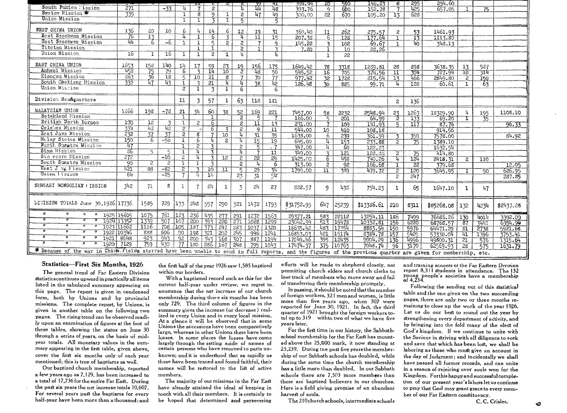|                                                                                                                                                                |               |                           |                 |                |                         |                              | ᡄ               | ᠽ                       |                 | मा              | 394.44                   | 10              | -590            | 146.23                  | -8                      | 295<br>425      | 294.60            |                        |                        |           |
|----------------------------------------------------------------------------------------------------------------------------------------------------------------|---------------|---------------------------|-----------------|----------------|-------------------------|------------------------------|-----------------|-------------------------|-----------------|-----------------|--------------------------|-----------------|-----------------|-------------------------|-------------------------|-----------------|-------------------|------------------------|------------------------|-----------|
| South Fukien l'ission                                                                                                                                          | 271           |                           | $-33$           | π              |                         | $\overline{c}$               |                 | 4                       | 뿊               | 48              | 393.76                   | $\mathbf{q}$    | 600             | 152.78                  | $\overline{7}$          |                 | 657.05            |                        | 75                     |           |
| Swetow Mission                                                                                                                                                 | 335           |                           |                 | $\mathbf{I}$   | g                       | q                            | 1               | 2                       | $\overline{47}$ | 49.             | 300.00                   | $22^{\circ}$    | 670             | 105.20                  | $\overline{13}$         | 628             |                   |                        |                        |           |
| Union Mission                                                                                                                                                  |               |                           |                 | T              | ı                       | 3                            |                 | 5                       |                 | 5               |                          |                 |                 |                         |                         |                 |                   |                        |                        |           |
| WEST CHINA UNION                                                                                                                                               |               |                           |                 |                |                         |                              |                 |                         |                 |                 |                          |                 |                 |                         |                         |                 |                   |                        |                        |           |
| East Szechwan Mission                                                                                                                                          | 136<br>76     | 20<br>$\overline{13}$     | 10              | 6<br>Ψ         | 4                       | 14                           | h               | 12                      | 19              | 31              | 360.40                   | 11              | 262             | $\frac{275.57}{177.64}$ | 2                       | $\frac{53}{13}$ | 1461.93           |                        |                        |           |
| West Szechwen Mission                                                                                                                                          | ᡰᢩᡅ           | 6                         | -5              | L.             | $\mathbf{1}$            | 6<br>$\overline{\mathbf{r}}$ |                 | h.                      | 11              | 15              | 207.38                   | 6.              | 128             |                         | $\top$                  |                 | 1113.80           |                        |                        |           |
| Tibotan Mission                                                                                                                                                |               |                           |                 |                | ı                       |                              | $\mathbf{P}$    | 2                       | 7               | 9               | 145.22                   | 3               | 102             | 69.67                   | $\mathbf{L}$            | 40              | 348.13            |                        |                        |           |
| Union Mission                                                                                                                                                  | 16            |                           | 16              |                | $\mathbf{I}$            | -1                           |                 | $\overline{2}$          |                 |                 | 7.80                     | Ĩ.              | 10              | 23,26                   |                         |                 |                   |                        |                        |           |
|                                                                                                                                                                |               | $\mathbf{1}$              |                 | 1              | $\overline{\mathbf{1}}$ | $\overline{c}$               | 1               | 4                       |                 |                 |                          | ı               | 22              |                         |                         |                 |                   |                        |                        |           |
| EAST CHINA UNION                                                                                                                                               |               | 158                       | 140             | 14             | 17                      |                              | 23              | 19                      | 156             | 175             | 1649.42                  |                 |                 |                         |                         |                 |                   |                        |                        |           |
| Anhwei Mission                                                                                                                                                 | 1653<br>- 458 |                           | 79              | 6              | $\overline{3}$          | $\frac{59}{14}$              | 10              | $\overline{2}$          | $\sqrt{48}$     | 50              | 545.52                   | 78<br>16        | 3318            | 1239.81<br>374.56       | 28<br>ΊI                | 898<br>304      | 3638.35<br>727.94 | 13<br>70               | 527<br>314             |           |
| Kiangsu Mission                                                                                                                                                | 363           | $\frac{75}{36}$           | $\overline{18}$ | 5              | 10                      | $\overline{21}$              | 8               |                         | 70              | 77              | 977.42                   |                 | 705             |                         | 13                      | 466             | 2849.80           | 2                      |                        |           |
| South Chekiang Hission                                                                                                                                         | 332           |                           | 43              | ī              | $\mathbf{z}$            | 21                           | u               | 4                       | 38              | 42              | 126.48                   | 32<br>30        | 1728            | 315,54                  | 4                       | 128             | 60.61             | 1                      | 150<br>$\overline{63}$ |           |
| Union Mistion                                                                                                                                                  |               |                           |                 | $\overline{2}$ | T                       | $\overline{3}$               | $\mathbf{1}$    | 6                       |                 | 6.              |                          |                 | 885             | 99.71                   |                         |                 |                   |                        |                        |           |
|                                                                                                                                                                |               |                           |                 |                |                         |                              |                 |                         |                 |                 |                          |                 |                 |                         |                         |                 |                   |                        |                        |           |
| Division Headquarters                                                                                                                                          |               |                           |                 | 11             | 3                       | 57                           | 1               | 63                      | 118             | 181             |                          |                 |                 |                         | $\mathbf{2}$            | 136             |                   |                        |                        |           |
|                                                                                                                                                                |               |                           |                 |                |                         |                              |                 |                         |                 |                 |                          |                 |                 |                         |                         |                 |                   |                        |                        |           |
| MALAYSIAN UNION                                                                                                                                                | 1366          | 198                       | $-78$           | 21             | <b>34</b>               | 60                           | 38              | 52                      | 169             | 221             |                          | 58              | 2232            | 2548.94                 |                         | 1263            | 18329.90          | 4                      |                        | 1108.10   |
| Batakland Hission                                                                                                                                              |               |                           |                 | T              |                         |                              |                 | $\overline{2}$          | 5               |                 | $\frac{7457.00}{166.00}$ | 丂               | 201             | 64.99                   | $\frac{23}{2}$          | 133             | 69.20             |                        | $\frac{195}{35}$       |           |
| British North Borneo                                                                                                                                           | 170           | $\overline{12}$           | 7               | T              | 2                       | 6                            |                 | 2                       | 11              | 13              | 231.00                   |                 | 109             | 141.93                  | Б,                      | 117             | 87.76             |                        |                        | 96.33     |
| Celebes Mission                                                                                                                                                | 334           | 43                        | 43.             | $\overline{2}$ |                         | 6                            | $\overline{z}$  | $\mathbf{2}$            | $\overline{9}$  | 11              | 544.00                   | 10 <sup>°</sup> | 410             | 108.18                  |                         |                 | 914.56            |                        |                        |           |
| East Java Mission                                                                                                                                              | 232           | $\overline{\frac{37}{6}}$ | 37              | $\overline{2}$ | $\overline{\mathbf{g}}$ |                              | 10 <sup>7</sup> | 4                       | 31              | 35              | 1638.00                  | $\epsilon$      | 239             | 361.59                  | $\mathbf{\overline{z}}$ | 350             | 7578.00           |                        |                        | 84.92     |
| Molay States Mission                                                                                                                                           | 150           |                           | -56             | ī              | 6                       |                              | $\overline{2}$  | 4                       | 15              | 19              | 645.00                   | 4               | 153             | 233.88                  | $\overline{2}$          | 75              | 1389.10           |                        |                        |           |
| Morth Sumptra Micsion                                                                                                                                          | 47            |                           |                 | T              | $\overline{2}$          | द                            |                 | $\overline{2}$          | 丂               | - 7             | 347.00                   | Τ.              | 60              | 122.37                  |                         |                 | 1132.54           |                        |                        |           |
| Siam Mission                                                                                                                                                   | 36            | 丂                         | Б.              | $\mathbf{I}$   | 11                      | 3                            |                 |                         | $\overline{7}$  | 11              | 349.00                   | $\mathbf{z}$    | 121             | 128.35                  | 2                       | 75              | 414.80            |                        |                        |           |
| Sin reore Hission                                                                                                                                              | 272           |                           | $-10^{-}$       | 2              | 4                       | 3                            | 12              | $\overline{2}$          | $\overline{22}$ | $\overline{21}$ | 1425.00                  | 6.              | 458             | 740.26                  | 4                       | 124             | 2418.31           | $\overline{2}$         | $\overline{110}$       |           |
| South Sumstra Mission                                                                                                                                          | 90            | 2                         | $\overline{2}$  | 1              | $\mathbf{r}$            | $\overline{z}$               |                 | $\overline{2}$          | 4               | 6               | 313.00                   | $\overline{2}$  | $\overline{92}$ | 166.68                  | ı                       | 22              | 379.68            |                        |                        | 12.05     |
| Weet $J$ $v_{\epsilon}$ l'ission                                                                                                                               | 421           | $\overline{88}$           | $-82$           | $\overline{z}$ | ₹                       | $10^{-}$                     | n               | $\overline{\mathsf{r}}$ | 29              | 74              | 1799.00                  | 11              | 389             | 479.72                  | $\overline{z}$          | 120             | 3645.95           |                        | 50                     | 626.95    |
| Union lission                                                                                                                                                  | 54            |                           | $-25$           | 7              | η.                      | $\overline{1}$               |                 | 23                      | 31              | न्धर            |                          |                 |                 |                         | $\mathfrak{p}$          | 247             |                   |                        |                        | 237.85    |
|                                                                                                                                                                |               |                           |                 |                |                         |                              |                 |                         |                 |                 |                          |                 |                 |                         |                         |                 |                   |                        |                        |           |
| SUNGARI MONGOLIAN   ISSICN                                                                                                                                     | 342           | 71                        | 8               | $\mathbf{I}$   |                         | 2 <sub>1</sub>               | 1               | 3                       | 24              | 27              | 882.57                   | 9               | 435             | 754.23                  | 1                       | 65              | 1647.10           | 1                      | 47                     |           |
|                                                                                                                                                                |               |                           |                 |                |                         |                              |                 |                         |                 |                 |                          |                 |                 |                         |                         |                 |                   |                        |                        |           |
| LIVISION TOTALS June 30,1926 17736                                                                                                                             |               |                           |                 |                |                         |                              |                 |                         |                 |                 |                          |                 |                 |                         |                         |                 |                   |                        |                        |           |
|                                                                                                                                                                |               | 1585                      | 729             | 133            | 248                     | 557                          | 290             | 321                     | 1472            | 1793            | \$31752.95               | 647             | 25239           | \$13386.61              | 210                     | 8311            | \$85268.08        | 132                    | 4234                   | \$2437.28 |
| И<br>п.<br>1925 15605                                                                                                                                          |               | 1075                      | 761             | 123            | 63⊺ ،                   | 435                          | 277             | 291                     | 1272            | 1563            |                          |                 |                 |                         |                         |                 |                   |                        |                        |           |
| 1924                                                                                                                                                           | 13352         | 1339                      | 507             | 107            | 200                     | 393                          | 220             | 271                     | 1028   1299     |                 | 29377.21                 | 583             | 22112           | 13254.11                | 186                     | 7499            | 76686.26          | 130                    | 4014                   | 3392.09   |
| w<br>$\overline{u}$                                                                                                                                            | 1923 11662    | 1116                      | 708             | 105            | 137                     | 373                          | 247             | 283                     | 1037            | 1320            | 23042.99                 | 513<br>487      | 19478           | 10332.81                | 156                     | 6220            | 68768.57          | $\overline{87}$        | न्नमम                  | 6354.99   |
| Ϊī<br>T                                                                                                                                                        | 1922 10346    | 888                       | 606             | 50             | 198                     | 721                          | 202             | 245                     |                 | 1241            | 18635.42                 |                 | 17354           | 8883.54 150             |                         | 5976            | 64471.29          | $\overline{\text{31}}$ | 2738                   | 5921.68   |
| ü<br>π<br>1921                                                                                                                                                 | 8648          | 923                       | 943             | 95             | 1200                    | 343                          | 168             |                         | -996            |                 | 16853.03                 | 421             | 15174           | 8384.78                 | $15^{\circ}$            | 5425            | 53330.04          | Ψ                      | 1396                   | 3753.41   |
| 1920                                                                                                                                                           | 7129          | 759                       | 430             | 77             | 180   286               |                              |                 | 307                     |                 | 887 1194        | 17049.46                 | 395             | 12435           | 9004.29                 | 136                     | 4996            | 49800.31          | 21                     | 576                    | 1315.64   |
|                                                                                                                                                                |               |                           |                 |                |                         |                              | 167             | 248                     | 795             | 1043            | 17474.37                 |                 | 375 110763      | 7048.74                 | -96                     | 3170            | 62569.93          | 28                     | 575                    | 1631.79   |
| * Because of the war in China. fields starred have been unable to send in full reports, and the figures of the previous quarter are given for membership, etc. |               |                           |                 |                |                         |                              |                 |                         |                 |                 |                          |                 |                 |                         |                         |                 |                   |                        |                        |           |

#### Statistics-First Six Months, 1926

The general trend of Far Eastern Division statistics continues upward in practically all items listed in the tabulated summary appearing on this page. The report is given in condensed form, both by Unions and by provincial missions. The complete report, by Unions, is given in another table on the following two pages. The rising trend can be observed readily upon an examination of figures at the foot of these tables, showing the status on June 30 through a series of years, on the basis of midyear totals. All monetary values in the summary appearing in the first table, given above. cover the first six months only of each year mentioned; this is true of baptisms as well.

Our baptized church membership, reported a few years ago as 7,129, has been increased to a total of 17,736 for the entire Far East. During the past six years the net increase totals 10,607. For several years past the baptisms for every half-year have been more than a thousand: and

the first half of the year 1926 saw 1,585 baptized within our borders.

With a baptismal record such as this for the current half-year under review, we regret to announce that the net increase of our church membership during these six months has been only 729. The third column of figures in the summary gives the increase (or decrease) realized in every Union and in every local mission. At a glance it will be observed that in some Unions the accessions have been comparatively large, whereas in other Unions there have been losses. In some places the losses have come largely through the setting aside of names of certain persons who have removed to parts unknown; and it is understood that as rapidly as these have been traced and found faithful, their names will be restored to the list of active members.

The majority of our missions in the Far East have already attained the ideal of keeping in touch with all their members. It is certainly to be hoped that determined and persevering

efforts will be made to shepherd closely, not permitting church elders and church clerks to lose track of members who move away and fail of transferring their membership promptly.

In passing, it should be noted that the number of foreign workers, 321 men and women, is little more than five years ago, when 307 were reported for June 30, 1921. In fact, the third quarter of 1921 brought the foreign workers total up to 319 within two of what we have five vears later.

For the first time in our history, the Sabbathschool membership for the Far East has mounted above the 25,000 mark, it now standing at 25,239. During the past five years the membership of our Sabbath schools has doubled, while during the same time the church membership has a little more than doubled. In our Sabbath schools there are 7.503 more members than there are baptized believers in our churches. Here is a field giving promise of an abundant harvest of souls.

The 210 church schools, intermediate schools

and training schoots of the Far Eastern Division report 8,311 students in attendance. The 132 young people's societies have a membership

Following the sending out of this statistical table and the one given on the two succeeding pages, there are only two or three months remaining to close up the work of the year 1926. Let us do our best to round out the year by strengthening every department of activity, and by bringing into the fold many of the elect of God's kingdom. If we continue to unite with the Saviour in striving with all diligence to seek and save that which has been lost, we shall be laboring as those who must give an account in the day of Judgment; and incidentally we shall have passed all former records, and can unite in a season of rejoicing over souls won for the Kingdom. Forthis happy and successful completion of our present year's labors let us continue to pray that God may grant grace to every member of our Far Eastern constituency.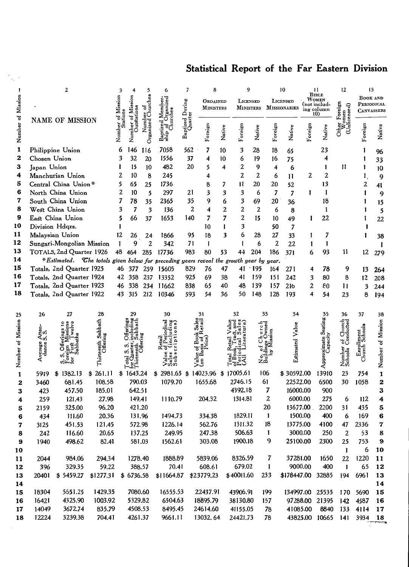## Statistical Report of the Far Eastern Division

|                   |              | 2                                                                                      |                | 3          |           | 5              | 6             | 7                          | 8                |    |        | 9                |        |              | 10                  |           | 11                         | 12                | 13              |                   |
|-------------------|--------------|----------------------------------------------------------------------------------------|----------------|------------|-----------|----------------|---------------|----------------------------|------------------|----|--------|------------------|--------|--------------|---------------------|-----------|----------------------------|-------------------|-----------------|-------------------|
|                   |              |                                                                                        |                |            |           | å              | ರ             |                            | ORDAINED         |    |        | LICENSED         |        |              | LICENSED            |           | <b>BIBLE</b><br>Women      |                   | <b>BOOK AND</b> |                   |
|                   |              |                                                                                        |                |            |           | Church<br>7    |               |                            | <b>MINISTERS</b> |    |        | <b>MINISTERS</b> |        |              | <b>MISSIONARIES</b> |           | (not includ-<br>ing column | 듧<br>ō            | PERIODICAL      |                   |
| Number of Mission |              |                                                                                        |                | of Mission |           |                |               | Baptized During<br>Quarter |                  |    |        |                  |        |              |                     |           | 10)                        | censed)           |                 | CANVASSERS        |
|                   |              | NAME OF MISSION                                                                        |                |            |           | Organized      |               |                            |                  |    |        |                  |        |              |                     |           |                            |                   |                 |                   |
|                   |              |                                                                                        |                | Number     |           |                |               |                            | Foreign          |    | Native | Foreign          | Native | Foreign      | Native              | Foreign   | Native                     | Other             | Foreign         | Native            |
|                   |              |                                                                                        |                |            | 7<br>Zuri |                |               |                            |                  |    |        |                  |        |              |                     |           |                            |                   |                 |                   |
| 1                 |              | Philippine Union                                                                       |                | 6          | 146       | 116            | 7058          | 562                        | 7                | 10 |        | 3                | 28     | 18           | 65                  |           | 23                         |                   |                 | 96                |
| 2                 | Chosen Union |                                                                                        |                | 3          | 32        | 20             | 1556          | 37                         | 4                |    | 10     | 6                | 19     | 16           | 75                  |           | 4                          |                   |                 | 33                |
| 3                 | Japan Union  |                                                                                        |                | 1          | 15        | 10             | 482           | 20                         | 5                |    | 4      | 2                | 9      | 4            | 6                   |           | 1                          | 11                | 1               | 10                |
| 4                 |              | Manchurian Union                                                                       |                | 2          | 10        | 8              | 245           |                            | 4                |    |        | 2                | 2      | 6            | 11                  | 2         | 2                          |                   | 1               | 9                 |
| 5                 |              | Central China Union*                                                                   |                | 5          | 65        | 25             | 1736          |                            | 8                |    | 7      | 11               | 20     | 20           | 52                  |           | 13                         |                   | 2               | 41                |
| 6                 |              | North China Union                                                                      |                | 2          | 10        | 5              | 297           | 21                         | 3                |    | 3      | 3                | 6      | 7            | 7                   | I         | 1                          |                   |                 | 9                 |
| 7                 |              | South China Union                                                                      |                | 7          | 78        | 35             | 2365          | 35                         | 9                |    | 6      | 3                | 69     | 20           | 36                  |           | 18                         |                   |                 | 15                |
| 8                 |              | West China Union                                                                       |                | 3          | 7         | 3              | 136           |                            | 2<br>4           |    | 2      | 2                | 2      | 6            | 8                   |           | 1                          |                   |                 | 5                 |
| 9                 |              | East China Union                                                                       |                | 5          | 66        | 37             | 1653          | 140                        | 7                |    | 7      | $\overline{2}$   | 15     | 10           | 49                  |           | 22                         |                   |                 | 22                |
| 10                |              | Division Hdqrs.                                                                        |                |            |           |                |               |                            | 10               |    | 1      | 3                |        | 50           | 7                   |           |                            |                   |                 |                   |
| 11                |              | Malaysian Union                                                                        |                | 12         | 26        | 24             | 1866          | 95                         | 18               |    | 3      | 6                | 28     | 27           | 33                  |           | 7                          |                   |                 | 38                |
| 12                |              | Sungari-Mongolian Mission                                                              |                |            | 9         | $\overline{2}$ | 342           | 71                         | $\mathbf{1}$     |    |        | 1                | 6      | 2            | 22                  |           | 1                          |                   |                 |                   |
| 13                |              | TOTALS, 2nd Quarter 1926                                                               |                | 48         | 464       | 285            | 17736         | 983                        | 80               |    | 53     | 44               | 204    | 186          | 371                 | 6         | 93                         | 11                | 12              |                   |
| 14                |              | *Estimated. The totals given below for preceding years reveal the growth year by year. |                |            |           |                |               |                            |                  |    |        |                  |        |              |                     |           |                            |                   |                 | 279               |
| 15                |              | Totals, 2nd Quarter 1925                                                               |                | 46         |           |                | 377 259 15605 | 829                        | 76               |    | 47     |                  | 41 195 | 164          | 271                 | 4         | 78                         | 9                 |                 |                   |
| 16                |              | Totals, 2nd Quarter 1924                                                               |                |            | 42 358    | 237            | 13352         | 925                        | 69               |    | 38     | 41               | 159    | 151          | 242                 | 3         | 80                         | 8                 | 13<br>12        | 264               |
| 17                |              | Totals, 2nd Quarter 1923                                                               |                | 46         | 338       | 234            | 11662         | 838                        | 65               |    | 40     | 48               | 139    | 157          | 216                 | 2         | 80                         | п                 |                 | 208               |
| 18                |              | Totals, 2nd Quarter 1922                                                               |                | 43         | 315       | 212            | 10346         | 593                        | 54               |    | 36     | 50               | 148    | 128          | 193                 | 4         | 54                         | 23                | 3<br>8          | 244               |
|                   |              |                                                                                        |                |            |           |                |               |                            |                  |    |        |                  |        |              |                     |           |                            |                   |                 | 194               |
|                   |              |                                                                                        |                |            |           |                |               |                            |                  |    |        |                  |        |              |                     |           |                            |                   |                 |                   |
| 25                | 26           | 27                                                                                     | 28             |            | 29        |                | 30            |                            | 31               |    |        | 32               |        | 33           | 34                  |           | 35                         | 36                | 37              | 38                |
|                   |              |                                                                                        |                |            |           |                |               |                            |                  |    |        |                  |        |              |                     |           |                            |                   |                 |                   |
|                   | Atten<br>S   |                                                                                        | Sabbath<br>ing |            |           |                |               |                            |                  |    |        |                  |        |              |                     |           |                            | Conducted         | alool           |                   |
|                   |              |                                                                                        |                |            |           |                |               |                            |                  |    |        |                  |        |              |                     |           |                            |                   |                 |                   |
| Number of Mission | Average      |                                                                                        | Thirteenth     |            |           |                |               |                            |                  |    |        |                  |        |              | Estimated Value     |           |                            | Number<br>Schools | Lard<br>Church  | Number of Mission |
|                   |              | ē                                                                                      |                |            |           |                | a,<br>្លឹ     |                            | ŝ                |    |        |                  | z      |              |                     |           |                            |                   |                 |                   |
|                   |              |                                                                                        |                |            |           |                |               |                            | Σą               |    |        |                  |        |              |                     |           | Åpp                        |                   |                 |                   |
| 1                 | 5919         | 1382.13<br>\$                                                                          | \$261.11       |            | \$1643.24 |                | $$2981.65$ \$ |                            | 14023.96         |    |        | \$17005.61       |        | 106          | \$30592.00          |           | 13910                      | 23                | 754             | $\mathbf{1}$      |
| 2                 | 3460         | 681.45                                                                                 | 108.58         |            | 790.03    |                | 1079.70       |                            | 1655.68          |    |        | 2746.15          |        | 61           | 22522.00            |           | 6500                       | 30                | 1058            | 2                 |
| 3                 | 423          | 457.50                                                                                 | 185.01         |            | 642.51    |                |               |                            |                  |    |        | 4392.18          |        | 7            | 16000.00            |           | 900                        |                   |                 | $\mathbf{3}$      |
| 4                 | 259          | 121.43                                                                                 | 27.98          |            | 149.41    |                | 1110.79       |                            | 204.32           |    |        | 1314.81          |        | 2            |                     | 6000.00   | 275                        | 6                 | 112             | 4                 |
| 5                 | 2159         | 325.00                                                                                 | 96.20          |            | 421.20    |                |               |                            |                  |    |        |                  |        | 20           |                     | 13677.00. | 2200                       | 31                | 435             | 5                 |
| 6                 | 434          | 111.60                                                                                 | 20.36          |            | 131.96    |                | 1494.73       |                            | 334.38           |    |        | 1829.11          |        | $\mathbf{1}$ |                     | 1500.00   | 400                        | 6                 | 169             | 6                 |
| 7                 | 3125         | 451.53                                                                                 | 121.45         |            | 572.98    |                | 1226.14       |                            | 562.76           |    |        | 1311.32          |        | 18           | 13775.00            |           | 4100                       | 47                | 2336            | 7                 |
| 8                 | 242          | 116.60                                                                                 | 20.65          |            | 137.25    |                | 249.95        |                            | 247.38           |    |        | 506.63           |        | 1            |                     | 3000.00   | 250                        | $\overline{2}$    | 53              | 8                 |
| 9                 | 1940         | 498.62                                                                                 | 82.41          |            | 581.03    |                | 1562.61       |                            | 303.08           |    |        | 1900.18          |        | 9            | 25100.00            |           | 2300                       | 25                | 753             | 9                 |
| 10                |              |                                                                                        |                |            |           |                |               |                            |                  |    |        |                  |        |              |                     |           |                            | $\mathbf{I}$      | 6               | 10                |
| 11                | 2044         | 984.06                                                                                 | 294.34         |            | 1278.40   |                | 1888.89       |                            | 5839.06          |    |        | 8326.59          |        | 7            | 37281.00            |           | 1650                       | 22                | 1220            | 11                |
| 12                | 396          | 329.35                                                                                 | 59.22          |            | 388.57    |                | 70.41         |                            | 608.61           |    |        | 679.02           |        | 1            |                     | 9000.00   | 400                        | $\mathbf{1}$      | 65              | 12                |
| 13                | 20401        | \$5459.27                                                                              | \$1277.31      |            | \$6736.58 |                | \$11664.87    |                            | \$23779.23       |    |        | \$40011.60       |        | 233          |                     |           | \$178447.00 32885          | 194               | 6961            | 13                |
| 14                |              |                                                                                        |                |            |           |                |               |                            |                  |    |        |                  |        |              |                     |           |                            |                   |                 | 14                |
| 15                | 18304        | 5651.25                                                                                | 1429.35        |            | 7080.60   |                | 16555.53      |                            | 22437.91         |    |        | 43906.91         |        | 199          |                     |           | 134997.00 25535            | 170               | 5690            | 15                |
| 16                | 16421        | 4325.90                                                                                | 1003.92        |            | 5329.82   |                | 6504.63       |                            | 18895.79         |    |        | 38130.80         |        | 157          |                     |           | 97288.00 21395             | $142$             | 4587            | 16                |
| 17                | 14049        | 3672.74                                                                                | 835.79         |            | 4508.53   |                | 8495.45       |                            | 24614.60         |    |        | 41155.05         |        | 78           |                     | 41085.00  | 8840                       | 133               | 4114            | 17                |
| 18                | 12224        | 3239.38                                                                                | 704.41         |            | 4261.37   |                | 9661.11       |                            | 13032.64         |    |        | 24421.73         |        | 78           |                     |           | 43825.00 10665 141         |                   | 3934 18         |                   |
|                   |              |                                                                                        |                |            |           |                |               |                            |                  |    |        |                  |        |              |                     |           |                            |                   |                 |                   |

 $\frac{1}{2} \sum_{i=1}^{n} \frac{1}{2}$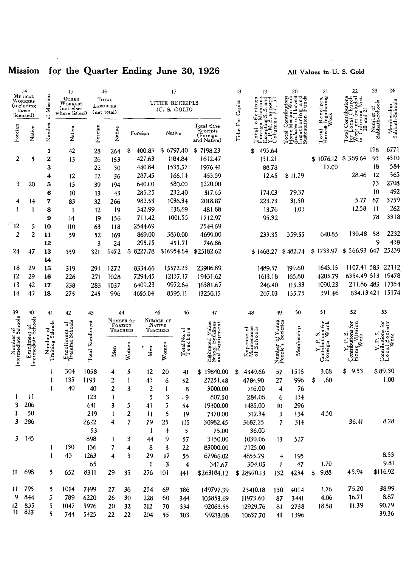## Mission for the Quarter Ending June 30, 1926

### All Values in U.S. Gold

|                                        | 14<br>MEDICAL                         |                               | 15                                |                 | 16                         |           |                           | 17             |                            |                                                      | 18        | 19                                         |                       | 20                                                                                                | 21                                                                                   | 22                                                                                                                                             | 23                           | 24                                                                                                                                     |
|----------------------------------------|---------------------------------------|-------------------------------|-----------------------------------|-----------------|----------------------------|-----------|---------------------------|----------------|----------------------------|------------------------------------------------------|-----------|--------------------------------------------|-----------------------|---------------------------------------------------------------------------------------------------|--------------------------------------------------------------------------------------|------------------------------------------------------------------------------------------------------------------------------------------------|------------------------------|----------------------------------------------------------------------------------------------------------------------------------------|
|                                        | WORKERS<br>(ir.e.uding                | Mission                       | Отнек<br>WORKERS                  | <b>LABORERS</b> | TOTAL                      |           |                           | TITHE RECEIPTS |                            |                                                      |           | $\frac{3}{27}$ , and $\frac{3}{4}$ .<br>56 |                       | on Work<br>Harvest<br>ng and<br><b>Contributions</b><br>Aission Work<br>nering and<br>stion Funds | Avest Ingathering                                                                    | ocal Church<br>not Included<br>Nos.                                                                                                            |                              |                                                                                                                                        |
|                                        | those                                 |                               | (nor else-<br>where listed)       | (net total)     |                            |           |                           | (U. S. GOLD)   |                            |                                                      | Capita    |                                            |                       |                                                                                                   |                                                                                      |                                                                                                                                                | Number of<br>Sabbath-Schools | Membership<br>Sabbath-Schools                                                                                                          |
|                                        | licensed)                             | 뉭                             |                                   |                 |                            |           |                           |                |                            |                                                      |           | $\circ$                                    |                       | Mission<br>Ingatherin<br>Sustentation<br>$\overline{\circ}$                                       |                                                                                      | $\frac{1}{20}$ and $\frac{2}{1}$<br>and                                                                                                        |                              |                                                                                                                                        |
|                                        |                                       |                               |                                   |                 |                            |           |                           |                |                            | Total tithe<br>Receipts                              | Tithe Per | pting:<br>$\vec{a}$                        | olumns                | xclusive                                                                                          |                                                                                      | .oca                                                                                                                                           |                              |                                                                                                                                        |
| Foreign                                | Native                                | Number                        | Native                            | Foreign         | Native                     | Foreign   |                           | Native         |                            | (Foreign<br>and Native)                              |           | orei<br>$\bar{\circ}$                      |                       | lome<br>$ot$ al                                                                                   |                                                                                      | ∟ਪੂ<br>ਪੂਲੇ<br>ਪੂਲੇ ਦ<br>otal                                                                                                                  |                              |                                                                                                                                        |
|                                        |                                       |                               |                                   |                 |                            | \$        | 400.83                    | \$6797.40      |                            | \$7198.23                                            |           | 495.64                                     |                       |                                                                                                   |                                                                                      |                                                                                                                                                | 198                          | 6771                                                                                                                                   |
| $\overline{2}$                         | 5                                     | 1<br>2                        | 42<br>13                          | 28<br>26        | 264<br>153                 |           | 427.63                    | 1184.84        |                            | 1612.47                                              |           | \$<br>131.21                               |                       |                                                                                                   | \$1076.12                                                                            | \$389.64                                                                                                                                       | 93                           | 4310                                                                                                                                   |
|                                        |                                       | 3                             |                                   | 22              | 30                         |           | 440.84                    | 1535.57        |                            | 1976.41                                              |           |                                            | 88.78                 |                                                                                                   | 17.00                                                                                |                                                                                                                                                | 18                           | 584                                                                                                                                    |
|                                        |                                       | 4                             | 12                                | 12              | 36                         |           | 287.45                    | 166.14         |                            | 453.59                                               |           |                                            | 12.45                 | \$11.29                                                                                           |                                                                                      | 28.46                                                                                                                                          | 12                           | 365                                                                                                                                    |
| 3                                      | 20                                    | 5                             | 15                                | 39              | 194                        |           | 640.00                    | 580.00         |                            | 1220.00                                              |           |                                            |                       |                                                                                                   |                                                                                      |                                                                                                                                                | 73                           | 2708                                                                                                                                   |
|                                        |                                       | 6                             | 10                                | 13              | 43                         |           | 285.25                    | 232.40         |                            | 517.65                                               |           | 174.03                                     |                       | 79.37                                                                                             |                                                                                      |                                                                                                                                                | 10                           | 492                                                                                                                                    |
| 4                                      | 14                                    | 7                             | 83                                | 32              | 266                        |           | 982.53                    | 1036.34        |                            | 2018.87                                              |           | 223.73                                     |                       | 31.50                                                                                             |                                                                                      | 5.77                                                                                                                                           | 87                           | 3759                                                                                                                                   |
| 1                                      | 1                                     | 8                             | 1                                 | 12              | 19                         |           | 342.99                    | 138.89         |                            | 481.88                                               |           |                                            | 13.76                 | 1.03                                                                                              |                                                                                      | 12.58                                                                                                                                          | -11                          | 262                                                                                                                                    |
|                                        |                                       | 9                             | 14                                | 19              | 156                        |           | 711.42                    | 1001.55        |                            | 1712.97                                              |           |                                            | 95.32                 |                                                                                                   |                                                                                      |                                                                                                                                                | 78                           | 3318                                                                                                                                   |
| ٦2                                     | 5                                     | 10                            | 110                               | 63              | 118                        |           | 2544.69                   |                |                            | 2544.69                                              |           |                                            |                       |                                                                                                   |                                                                                      |                                                                                                                                                |                              |                                                                                                                                        |
| $\overline{2}$                         | $\overline{2}$                        | 11                            | 59                                | 52              | 169                        |           | 869.00                    | 3830.00        |                            | 4699.00                                              |           | 233.35                                     |                       | 359.55                                                                                            | 640.85                                                                               | 130.48                                                                                                                                         | 58                           | 2232                                                                                                                                   |
|                                        |                                       | 12                            |                                   | 3               | 24                         |           | 295.15                    | 451.71         |                            | 746.86                                               |           |                                            |                       |                                                                                                   |                                                                                      |                                                                                                                                                | 9                            | 438                                                                                                                                    |
| 24                                     | 47                                    | 13                            | 359                               | 321             | 1472                       | \$8227.78 |                           | \$16954.84     |                            | \$25182.62                                           |           | \$1468.27                                  |                       | \$482.74                                                                                          | \$1733.97                                                                            | \$566.93 647 25239                                                                                                                             |                              |                                                                                                                                        |
|                                        |                                       | 14                            |                                   |                 |                            |           |                           |                |                            |                                                      |           |                                            |                       |                                                                                                   |                                                                                      |                                                                                                                                                |                              |                                                                                                                                        |
| 18                                     | 29                                    | 15                            | 319                               | 291             | 1272                       |           | 8334.66                   | 15572.23       |                            | 23906.89                                             |           | 1489.57                                    |                       | 199.60                                                                                            | 1643.15                                                                              | 1107.41 583                                                                                                                                    |                              | 22112                                                                                                                                  |
| 12                                     | 29                                    | 16                            | 226                               | 271             | 1028                       |           | 7294.45                   | 12137.17       |                            | 19431.62                                             |           | 1613.18                                    |                       | 165.80                                                                                            | 4205.79                                                                              | 6354.49 513                                                                                                                                    |                              | 19478                                                                                                                                  |
| 13                                     | 42                                    | 17                            | 238                               | 283             | 1037                       |           | 6409.23                   | 9972.64        |                            | 16381.67                                             |           | 246.40                                     |                       | 115.33                                                                                            | 1090.23                                                                              | 211.86 483                                                                                                                                     |                              | 17354                                                                                                                                  |
| 14                                     | 47                                    | 18                            | 275                               | 245             | 996                        |           | 4655.04                   | 8595.11        |                            | 13250.15                                             |           | 207.03                                     |                       | 155.75                                                                                            | 391.46                                                                               | 834.13 421 15174                                                                                                                               |                              |                                                                                                                                        |
|                                        |                                       |                               |                                   |                 |                            |           |                           |                |                            |                                                      |           |                                            |                       |                                                                                                   |                                                                                      |                                                                                                                                                |                              |                                                                                                                                        |
|                                        |                                       |                               |                                   |                 |                            |           |                           |                |                            |                                                      |           |                                            |                       |                                                                                                   |                                                                                      |                                                                                                                                                |                              |                                                                                                                                        |
|                                        | 40                                    | 41                            | 42                                | 43              | 44                         |           | 45                        |                | 46                         | 47                                                   |           | 48                                         | 49                    | 50                                                                                                | 51                                                                                   | 52                                                                                                                                             |                              | 53                                                                                                                                     |
|                                        |                                       |                               |                                   |                 | NUMBER OF                  |           | NUMBER OF                 |                |                            |                                                      |           |                                            |                       |                                                                                                   |                                                                                      |                                                                                                                                                |                              |                                                                                                                                        |
|                                        |                                       |                               |                                   |                 | FOREIGN<br><b>TEACHERS</b> |           | <b>NATIVE</b><br>TEACHERS |                |                            |                                                      |           |                                            |                       |                                                                                                   | ٷ<br>à                                                                               |                                                                                                                                                |                              |                                                                                                                                        |
|                                        |                                       |                               |                                   |                 |                            |           |                           |                |                            |                                                      |           |                                            | of Young<br>Societies |                                                                                                   | ğÞ<br>m                                                                              |                                                                                                                                                |                              | đķ                                                                                                                                     |
|                                        |                                       |                               |                                   |                 |                            |           |                           |                |                            |                                                      |           | cpense of<br>aintenance<br>Schools         |                       |                                                                                                   | ρ,                                                                                   |                                                                                                                                                |                              |                                                                                                                                        |
|                                        |                                       | Number of<br>Training Schools | Enrollment of<br>Training Schools |                 | Men                        | Women     | Men                       | Women          | Total No. of<br>Teachers   |                                                      |           | Expense<br>Maintenano<br>of Schoo          |                       | Membership                                                                                        | oreign                                                                               |                                                                                                                                                |                              |                                                                                                                                        |
| Number of www.<br>Intermediate Schools | Enrollment of<br>Intermediate Schools |                               |                                   | Total Enrolment |                            |           |                           |                |                            | Estimated Value<br>School Buildings<br>and Equipment |           |                                            | Number<br>People's    |                                                                                                   | $\begin{array}{c} \mathbf{Contribution} \\ \mathbf{For} \\ \mathbf{For} \end{array}$ | $\begin{array}{l} \text{Continuing for}\\ \text{Hom}_{\mathbb{C}}\text{ Mission}\\ \text{Hom}_{\mathbb{W}\text{ols}}\\ \text{Wok} \end{array}$ |                              | $\begin{array}{l} \mathbf{Y}, \ \mathbf{P}, \ \mathbf{S}, \\ \hline \text{Continuting for}\\ \text{Local}, \text{Society} \end{array}$ |
|                                        |                                       |                               | 304                               | 1058            | 4                          | 5         | $12\phantom{.0}$          | 20             | 41                         | 19840.00<br>\$                                       | \$        | 4349.66                                    | 57                    | 1515                                                                                              | 3.08                                                                                 | 9.53<br>\$                                                                                                                                     |                              | \$89.30                                                                                                                                |
|                                        |                                       |                               | 135                               | 1193            | 2                          | 1         | 43                        | 6              | 52                         | 27251.48                                             |           | 4784.90                                    | 27                    | 996                                                                                               | .60<br>\$                                                                            |                                                                                                                                                |                              | 1.00                                                                                                                                   |
|                                        |                                       |                               | 40                                | 40              | 2                          | 3         | 2                         | 1              | 8                          | 3000.00                                              |           | 716.00                                     | 4                     | 76                                                                                                |                                                                                      |                                                                                                                                                |                              |                                                                                                                                        |
| 1                                      | 11                                    |                               |                                   | 123             | I                          |           | 5                         | 3              | . 9                        | 807.50                                               |           | 284.08                                     | 6                     | 134                                                                                               |                                                                                      |                                                                                                                                                |                              |                                                                                                                                        |
| 3                                      | 206                                   |                               |                                   | 641             | 3                          | 5         | 41                        | 5              | 54                         | 19300.00                                             |           | 1485.00                                    | 10                    | 296                                                                                               |                                                                                      |                                                                                                                                                |                              |                                                                                                                                        |
|                                        | 50                                    |                               |                                   | 219             | $\mathbf{I}$               | 2         | 11                        | 5              | 19                         | 7470.00                                              |           | 317.34                                     | 3                     | 134                                                                                               | 4.50                                                                                 |                                                                                                                                                |                              |                                                                                                                                        |
| 3                                      | 286                                   |                               |                                   | 2622            | 4                          | 7         | 79                        | 25             | 115                        | 30982.45                                             |           | 3682.25                                    | 7                     | 314                                                                                               |                                                                                      | 36.41                                                                                                                                          |                              | 8.28                                                                                                                                   |
|                                        |                                       |                               |                                   | 53              |                            |           | -1                        | 4              | 5                          | 75.00                                                |           | 36.00                                      |                       |                                                                                                   |                                                                                      |                                                                                                                                                |                              |                                                                                                                                        |
| 3                                      | - 145                                 |                               |                                   | 898             |                            | 3         | 44                        | 9              | 57                         | 3150.00                                              |           | 1030.06                                    | 13                    | 527                                                                                               |                                                                                      |                                                                                                                                                |                              |                                                                                                                                        |
|                                        |                                       | 1                             | 130                               | 136             | 7                          | 4         | 8                         | 3              | 22                         | 83000.00                                             |           | 7125.00                                    |                       |                                                                                                   |                                                                                      |                                                                                                                                                |                              | 8.53                                                                                                                                   |
|                                        |                                       | $\mathbf{I}$                  | 43                                | 1263            | 4                          | 5         | 29<br>$\mathbf{1}$        | 17<br>3        | 55                         | 67966.02                                             |           | 4855.79                                    | 4                     | 195                                                                                               | 1.70                                                                                 |                                                                                                                                                |                              | 9.81                                                                                                                                   |
|                                        | 11 698                                | 5                             | 652                               | 65<br>8311      | 29                         | 35        | 276                       |                | $\overline{\bf{4}}$<br>441 | $341.67$ .<br>\$263184.12                            |           | 304.05<br>\$28970.13                       | $\mathbf{I}$          | 47                                                                                                | 9.88<br>\$                                                                           | 45.94                                                                                                                                          |                              | \$116.92                                                                                                                               |
|                                        |                                       |                               |                                   |                 |                            |           |                           | 101            |                            |                                                      |           |                                            | 132                   | 4234                                                                                              |                                                                                      |                                                                                                                                                |                              |                                                                                                                                        |
| 11.                                    | 795                                   | 5                             | 1014                              | 7499            | 27                         | 36        | 254                       | 69             | 386                        | 149797.39                                            |           | 23410.18                                   | 130                   | 4014                                                                                              | 1.76                                                                                 | 75.20                                                                                                                                          |                              | 38.99                                                                                                                                  |
| 9                                      | 844                                   | 5                             | 789                               | 6220            | 26                         | 30        | 228                       | 60             | 344                        | 105853.69                                            |           | 11973.60                                   | 87                    | 3441                                                                                              | 4.06                                                                                 | 16.71                                                                                                                                          |                              | 8.87                                                                                                                                   |
| 12                                     | 835<br>11 823                         | 5<br>5                        | 1047                              | 5976            | 20                         | 32        | 212                       | 70             | 334                        | 92063.55                                             |           | 12929.76                                   | 81                    | 2738                                                                                              | 18.58                                                                                | 11.39                                                                                                                                          |                              | 90.79<br>39.36                                                                                                                         |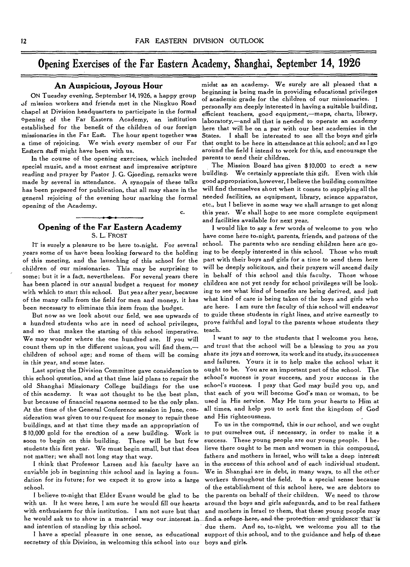### Opening Exercises of the Far Eastern Academy, Shanghai, September **14, 1926**

c.

#### **An Auspicious, Joyous Hour**

ON Tuesday evening, September 14, 1926, a happy group of mission workers and friends met in the Ningkuo Road chapel at Division headquarters to participate in the formal Opening of the Far Eastern Academy, an institution established for the benefit of the children of our foreign missionaries in the Far East. The hour spent together was a time of rejoicing. We wish every member of our Far Eastern staff might have been with us.

In the course of the opening exercises, which included special music, and a most earnest and impressive scripture reading and prayer by Pastor J. G. Gjording, remarks were made by several in attendance. A synopsis of these talks has been prepared for publication, that all may share in the general rejoicing of the evening hour marking the formal opening of the Academy.

years some of us have been looking forward to the holding ing to be deeply interested in this school. Those who must of this meeting, and the launching of this school for the part with their boys and girls for a time to send them here children of our missionaries. This may be surprising to will be deeply solicitous, and their prayers will ascend daily some; but it is a fact, nevertheless. For several years there in behalf of this school and this faculty. Those whose<br>has been placed in our annual budget a request for money children are not yet ready for school privileges has been placed in our annual budget a request for money with which to start this school. But year after year, because ing to see what kind of benefits are being derived, and just<br>of the many calls from the field for men and money, it has what kind of care is being taken of the of the many calls from the field for men and money, it has been necessary to eliminate this item from the budget. are here. I am sure the faculty of this school will endeavor

a hundred students who are in need of school privileges, prove faithful and loyal to the parents whose students they and so that makes the starting of this school imperative. teach.<br>We may wonder where the one hundred are lf you will levant to say to the students that I welcome you here, We may wonder where the one hundred are. If you will I want to say to the students that I welcome you here,<br>count them up in the different unions, you will find them,— and trust that the school will be a blessing to you as count them up in the different unions, you will find them,children of school age; and some of them will be coming share its joys and sorrows, its work and its study, its successes in this year, and some later. and failures. Yours it is to help make the school what it

this school question, and at that time laid plans to repair the school's success is your success, and your success is the old Shanghai Missionary College buildings for the use school's success. I pray that God may build you up, and of this academy. It was not thought to be the best plan, that each of you will become God's man or woman, to be<br>but because of financial reasons seemed to be the only plan, used in His service. May He turn your hearts to H but because of financial reasons seemed to be the only plan. At the time of the General Conference session in June, con- all times, and help you to seek first the kingdom of God<br>sideration was given to our request for money to repair these and His righteousness. sideration was given to our request for money to repair these buildings, and at that time they made an appropriation of To us in the compound, this is our school, and we ought \$ 10,000 gold for the erection of a new building. Work is to put ourselves out, if necessary, in order to make it a soon to begin on this building. There will be but few success. These young people are our young people. I bestudents this first year. We must begin small, but that does lieve there ought to be men and women in this compound, not matter; we shall not long stay that way. fathers and mothers in Israel, who will take a deep interegt

enviable job in beginning this school and in laying a foun- We in Shanghai are in debt, in many ways, to all the other dation for its future; for we expect it to grow into a large workers throughout the field. In a special sense because school. **of the establishment of this school** here, we are debtors to

with us. If he were here, I am sure he would fill our hearts around the boys and girls safeguards, and to be real fathers with enthusiasm for this institution. I am not sure but that and mothers in Israel to them, that these young people may he would ask us to show in a material way our interest in find a refuge-here, and the protection and guidance that is and intention of standing by this school. due them. And so, to-night, we welcome you all to the

secretary of this Division, in welcoming this school into our boys and girls.

midst as an academy. We surely are all pleased that a beginning is being made in providing educational privileges of academic grade for the children of our missionaries. I personally am deeply interested in having a suitable building, efficient teachers, good equipment,—maps, charts, library, laboratory,—and all that is needed to operate an academy here that will be on a par with our best academies in the States. I shall be interested to see all the boys and girls that ought to be here in attendance at this school; and as I go around the field I intend to work for this, and encourage the parents to send their children.

The Mission Board has given \$10,000 to erect a new building. We certainly appreciate this gift. Even with this good appropriation, however, I believe the building committee will find themselves short when it comes to supplying all the needed facilities, as equipment, library, science apparatus, etc., but I believe in some way we shall arrange to get along this year. We shall hope to see more complete equipment and facilities available for next year.

**Opening of the Far Eastern Academy** I would like to say a few words of welcome to you who<br>S. L. FROST have come here to-night, parents, friends, and patrons of the have come here to-night, parents, friends, and patrons of the IT is surely a pleasure to be here to-night. For several school. The parents who are sending children here are go-But now as we look about our field, we see upwards of to guide these students in right lines, and strive earnestly to

Last spring the Division Committee gave consideration to ought to be. You are an important part of the school. The

I think that Professor Larsen and his faculty have an in the success of this school and of each individual student. I believe to-night that Elder Evans would be glad to be the parents on behalf of their children. We need to throw I have a special pleasure in one sense, as educational support of this school, and to the guidance and help of these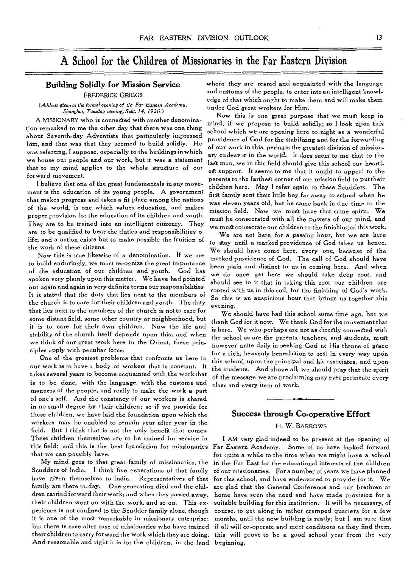### A School for the Children of Missionaries in the Far Eastern Division

*(Address given at the formal opening of the Far Eastern Academy,* under God great workers for Him. *Shanghai, Tuesday evening, Sept. 14, 1926.)* 

him, and that was that they seemed to build solidly. He was referring, I suppose, especially to the buildings in which are world. It does seem to me that to the work, but it was a statement any endeavor in the world. It does seem to me that to the world. It is not to the world.

I believe that one of the great fundamentals in any move-<br>ment is the education of its young people. A government can family sent their little has featured in the set ment is the education of its young people. A government first family sent their little boy far away to school when he<br>that makes progress and takes a fit place among the nations same also assessed but he say that is the st of the world, is one which values education, and makes They are to be trained into an intelligent citizenry. They we must be consecrated while an intel powers of our finishing of this work. are to be qualified to bear the duties and responsibilities o<br>life, and a nation exists but to make possible the fruition of  $\epsilon_0$  are notiled production of Cadital and know

Now this is true likewise of a denomination. If we are marked providence of God. The call of God should have<br>to build enduringly, we must recognize the great importance to build enduringly, we must recognize the great importance been plain and distinct to us in coming here. And when<br>of the education of our children and youth. God has we do need not have well. If the democratical of the education of our children and youth. God has we do once get here we should take deep root, and<br>spoken very plainly upon this matter. We have had pointed should see to it that in taking this neet our abildre the church is to care for their children and youth. The duty<br>that lies next to the members of the church is not to care for  $\frac{1}{N}$ that lies next to the members of the church is not to care for We should have had this school some time ago, but we<br>some distant field, some other country or neighborhood, but the all Cad for it near We thank Cad for the m some distant field, some other country or neighborhood, but thank God for it now. We thank God for the movement that<br>it is to care for their own children. Now the life and the measure of more measured it will be alleged it is to care for their own children. Now the life and is here. We who perhaps are not as directly connected with<br>stability of the church itself depends upon this; and when the school as are the parents the have and studen stability of the church itself depends upon this; and when the school as are the parents, teachers, and students, must<br>we think of our great work here in the Orient, these prin-

is to be done, with the language, with the customs and class and every item of work. manners of the people, and really to make the work a part of one's self. And the constancy of our workers is shared in no small degree by their children; so if we provide for these children, we have laid the foundation upon which the **Success through Co-operative Effort**  workers may be enabled to remain year after year in the field. But **I** think that is not the only benefit that comes. These children themselves are to be trained for service in I AM very glad indeed to be present at the opening of<br>this field; and this is the best foundation for missionaries Far Eastern Academy. Some of us have looked forw

And reasonable and right it is for the children, in the land beginning.

FREDERICK GRIGGS and customs of the people, to enter into an intelligent knowledge of that which ought to make them and will make them **Building Solidly for Mission Service** where they are reared and acquainted with the language

A MISSIONARY who is connected with another denomina- mind, if we propose to build solidly; so I look upon this tion remarked to me the other day that there was one thing mind, in we propose to build solidly, so I look upon this<br>about Seventh-day Adventists that particularly impressed providence of God for the stabilizing and for the forwarding of our work in this, perhaps the greatest division of missionlast man, we in this field should give this school our heartithat to my mind applies to the whole structure of our est support. It seems to me that it ought to appeal to the<br>forward movement. ward movement.<br>I believe that one of the great fundamentals in any move- akillary here. Man I refer again to these Smiths a Th was eleven years old, but he came back in due time to the mission field. Now we must have that same spirit. We proper provision for the education of its children and youth. must be consecrated with all the powers of our mind, and Now this is one great purpose that we *must* keep in

*life*, and a nation exists but to make possible the fruition of to stay until a marked providence of God takes us hence. work of these citizens.<br>Now this is true likewise of a denomination. If we are  $\frac{1}{2}$  as  $\frac{1}{2}$  and  $\frac{1}{2}$  and  $\frac{1}{2}$  and  $\frac{1}{2}$  and  $\frac{1}{2}$  and  $\frac{1}{2}$  and  $\frac{1}{2}$  and  $\frac{1}{2}$  and  $\frac{1}{2}$  and  $\frac$ spoken very plainly upon this matter. We have had pointed should see to it that in taking this root our children are<br>out again and again in very definite terms our responsibilities out again and again in very definite terms our responsibilities rooted with us in this soil, for the finishing of God's work. So this is an auspicious hour that brings us together this

we think of our great work here in the Orient, these prin-<br>ciples apply with peculiar force. ciples apply with peculiar force.<br>The of the greatest problems that confronts us here in this school upon the principal and bis essentiate and upon One of the greatest problems that confronts us here in this school, upon the principal and his associates, and upon<br>our work is to have a body of workers that is constant. It the students And these all succh what is the wi our work is to have a body of workers that is constant. It the students. And above all, we should pray that the spirit<br>takes several years to become acquainted with the work that at the meesage weare proclaiming part are a of the message we are proclaiming may ever permeate every

#### **H. W.** BARROWS

Far Eastern Academy. Some of us have looked forward that we can possibly have.  $\qquad \qquad$  for quite a while to the time when we might have a school My mind goes to that great family of missionaries, the *in* the Far East for the educational interests of the children of our missionaries. For a number of years we have planned have given themselves to India. Representatives of that for this school, and have endeavored to provide for it. We<br>family are there to-day. One generation died and the chil-are glad that the General Conference and our bret family are there to-day. One generation died and the chil- are glad that the General Conference and our brethren at home have seen the need and have made provision for a their children went on with the work, and so on. This ex- suitable building for this institution. It will be necessary, of perience is not confined to the Scudder family alone, though course, to get along in rather cramped quarters for a few it is one of the most remarkable in missionary enterprise; months, until the new building is ready; but I am sure that if all will co-operate and meet conditions as they find them, their children to carry forward the work which they are doing. this will prove to be a good school year from the very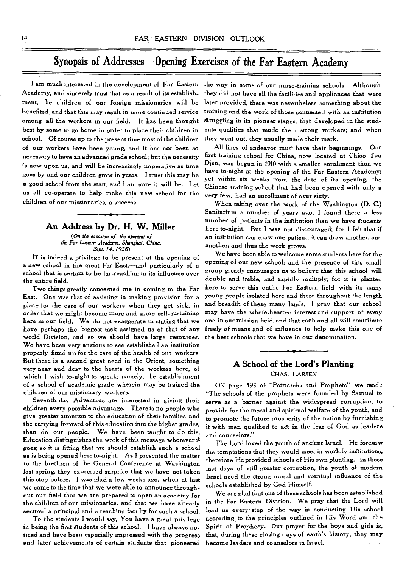## Synopsis of Addresses—Opening Exercises of. the Far Eastern Academy

I am much interested in the development of Far Eastern the way in some of our nurse-training schools. Although Academy, and sincerely trust that as a result of its establishment, the children of our foreign missionaries will be benefited, and that this may result in more continued service among all the workers in our field. It has been thought best by some to go home in order to place their children in school. Of course up to the present time most of the children of our workers have been young, and it has not been so necessary to have an advanced grade school; but the necessity is now upon us, and will be increasingly imperative as time goes by and our children grow in years. I trust this may be a good school from the start, and I am sure it will be. Let us all co-operate to help make this new school for the children of our missionaries, a success.

#### **An Address by Dr. H. W. Miller**

*(On the occasion of the opening of the Far Eastern Academy, Shanghai, China, Sept. 14, 1926)* 

IT is indeed a privilege to be present at the opening of a new school in the great Far East,—and particularly of a school that is certain to be far-reaching in its influence over the entire field.

Two things greatly concerned me in coming to the Far East. One was that of assisting in making provision for a place for the care of our workers when they get sick, in order that we might become more and more self-sustaining here in our field. We do not exaggerate in stating that we have perhaps the biggest task assigned us of that of any world Division, and so we should have large resources. We have been very anxious to see established an institution properly fitted up for the care of the health of our workers But there is a second great need in the Orient, something very near and dear to the hearts of the workers here, of which I wish to-night to speak; namely, the establishment of a school of academic grade wherein may be trained the children of our missionary workers.

Seventh-day Adventists are interested in giving their children every possible advantage. There is no people who give greater attention to the education of their families and the carrying forward of this education into the higher grades, than do our people. We have been taught to do this. Education distinguishes the work of this message wherever it goes; so it is fitting that we should establish such a school as is being opened here to-night. As I presented the matter to the brethren of the General Conference at Washington last spring, they expressed surprise that we have not taken this step before. I was glad a few weeks ago, when at last we came to the time that we were able to announce throughout our field that we are prepared to open an academy for the children of our missionaries, and that we have already secured a principal and a teaching faculty for such a school.

To the students I would say, You have a great privilege in being the first students of this school. I have always noticed and have been especially impressed with the progress and later achievements of certain students that pioneered

they did not have all the facilities and appliances that were later provided, there was nevertheless something about the training and the work of those connected with an institution struggling in its pioneer stages, that developed in the students qualities that made them strong workers; and when they went out, they usually made their mark.

All lines of endeavor must have their beginnings. Our first training school for China, now located at Chiao Tou Djen, was begun in 1910 with a smaller enrollment than we have to-night at the opening of the Far Eastern Academy; yet within six weeks from the date of its opening, the Chinese training school that had been opened with only a very few, had an enrollment of over sixty.

When taking over the work of the Washington (D. C.) Sanitarium a number of years ago, I found there a less number of patients in the institution than we have students here to-night. But I was not discouraged; for I felt that if an institution can draw one patient, it can draw another, and another; and thus the work grows.

We have been able to welcome some students here for the opening of our new school; and the presence of this small group greatly encourages us to believe that this school will double and treble, and rapidly multiply; for it is planted here to serve this entire Far Eastern field with its many young people isolated here and there throughout the length and breadth of these many lands. I pray that our school may have the whole-hearted interest and support of every one in our mission field, and that each and all will contribute freely of means and of influence to help make this one of the best schools that we have in our denomination.

#### **A School of the Lord's Planting**  CHAS. LARSEN

ON page 593 of "Patriarchs and Prophets" we read: "The schools of the prophets were founded by Samuel to serve as a barrier against the widespread corruption, to provide for the moral and spiritual welfare of the youth, and to promote the future prosperity of the nation by furnishing it with men qualified to act in the fear of God as leaders and counselors."

The Lord loved the youth of ancient Israel. He foresaw the temptations that they would meet in worldly institutions, therefore He provided schools of His own planting. In these last days of still greater corruption, the youth of modern Israel need the strong moral and spiritual influence of the schools established by God Himself.

We are glad that one of these schools has been established in the Far Eastern Division. We pray that the Lord will lead us every step of the way in conducting His school according to the principles outlined in His Word and the Spirit of Prophecy. Our prayer for the boys and girls is, that, during these closing days of earth's history, they may become leaders and counselors in Israel.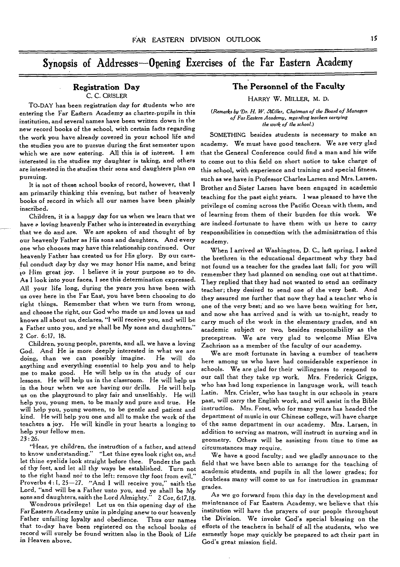### Synopsis of Addresses—Opening Exercises of the Far Eastern Academy

#### **Registration Day**  C. C. CRISLER

TO-DAY has been registration day for students who are entering the Far Eastern Academy as charter-pupils in this institution, and several names have been written down in the new record books of the school, with certain facts regarding the work you have already covered in your school life and the studies you are to pursue during the first semester upon which we are now entering. All this is of interest. I am interested in the studies my daughter is taking, and others are interested in the studies their sons and daughters plan on pursuing.

It is not of these school books of record, however, that I am primarily thinking this evening, but rather of heavenly books of record in which all our names have been plainly inscribed.

Children, it is a happy day for us when we learn that we have a loving heavenly Father who is interested in everything that we do and are. We are spoken of and thought of by our heavenly Father as His sons and daughters. And every one who chooses may have this relationship continued. Our heavenly Father has created us for His glory. By our careful conduct day by day we may honor His name, and bring to Him great joy. I believe it is your purpose so to do. As I look into your faces, I see this determination expressed. All your life long, during the years you have been with us over here in the Far East, you have been choosing to do right things. Remember that when we turn from wrong, and choose the right, our God who made us and loves us and knows all about us, declares, "I will receive you, and will be a Father unto you, and ye shall be My sons and daughters." 2 Cor. 6:17, 18.

Children, young people, parents, and all, we have a loving God. And He is more deeply interested in what we are<br>doing, than we can possibly imagine. He will do doing, than we can possibly imagine. anything and everything essential to help you and to help me to make good. He will help us in the study of cur lessons. He will help us in the classroom. He will help us in the hour when we are having our drills. He will help us on the playground to play fair and unselfishly. He will help you, young men, to be manly and pure and true. He will help you, young women, to be gentle and patient and kind. He will help you one and all to make the work of the teachers a joy. He will kindle in your hearts a longing to help your fellow men.

23 : 26.

"Hear, ye children, the instruction of a father, and attend to know understanding." "Let thine eyes look right on, and let thine eyelids look straight before thee. Ponder the path of thy feet, and let all thy ways be established. Turn not to the right hand nor to the left: remove thy foot from evil." Proverbs 4:1, 25-27. "And I will receive you," saith the Lord, "and will be a Father unto you, and ye shall be My sons and daughters, saith the Lord Almighty." 2 Cor, 6:17,18.

Wondrous privilege! Let us on this opening day of the Far Eastern Academy unite in pledging anew to our heavenly Father unfailing loyalty and obedience. Thus our names that to-day have been registered on the school books of record will surely be found written also in the Book of Life in Heaven above.

### **The Personnel of the Faculty**

HARRY W. MILLER, M. D.

*(Remarks by Dr. H. W. aCiller, Chairman of the Board of Managers of Far Eastern Academy, regarding teachers carrying the work of the school.)* 

SOMETHING besides students is necessary to make an academy. We must have good teachers. We are very glad that the General Conference could find a man and his wife to come out to this field on short notice to take charge of this school, with experience and training and special fitness, such as we have in Professor Charles Larsen and Mrs. Larsen. Brother and Sister Larsen have been engaged in academic teaching for the past eight years. I was pleased to have the privilege of coming across the Pacific Ocean with them, and of learning from them of their burden for this work. We are indeed fortunate to have them with us here to carry responsibilities in connection with the administration of this academy.

When I arrived at Washington, D. C., last spring, I asked the brethren in the educational department why they had not found us a teacher for the grades last fall; for you will remember they had planned on sending one out at that time. They replied that they had not wanted to send an ordinary teacher; they desired to send one of the very best. And they assured me further that now they had a teacher who is one of the very best; and so we have been waiting for her, and now she has arrived and is with us to-night, ready to carry much of the work in the elementary grades, and an academic subject or two, besides responsibility as the preceptress. We are very glad to welcome Miss Elva Zachrison as a member of the faculty of our academy.

We are most fortunate in having a number of teachers here among us who have had considerable experience in schools. We are glad for their willingness to respond to our call that they take vp work. Mrs. Frederick Griggs, who has had long experience in language work, will teach Latin. Mrs. Crisler, who has taught in our schools in years past, will carry the English work, and will assist in the Bible instruction. Mrs. Frost, who for many years has headed the department of music in our Chinese college, will have charge of the same department in our academy. **Mrs.** Larsen, in addition to serving as matron, will instruct in nursing and in geometry. Others will be assisting from time to time as circumstances may require.

We have a good faculty; and we gladly announce to the field that we have been able to arrange for the teaching of academic students, and pupils in all the lower grades; for doubtless many will come to us for instruction in grammar grades.

As we go forward from this day in the development and maintenance of Far Eastern Academy, we believe that this institution will have the prayers of our people throughout the Division. We invoke God's special blessing on the efforts of the teachers in behalf of all the students, who we esrnestly hope may quickly be prepared to act their part in God's great mission field.